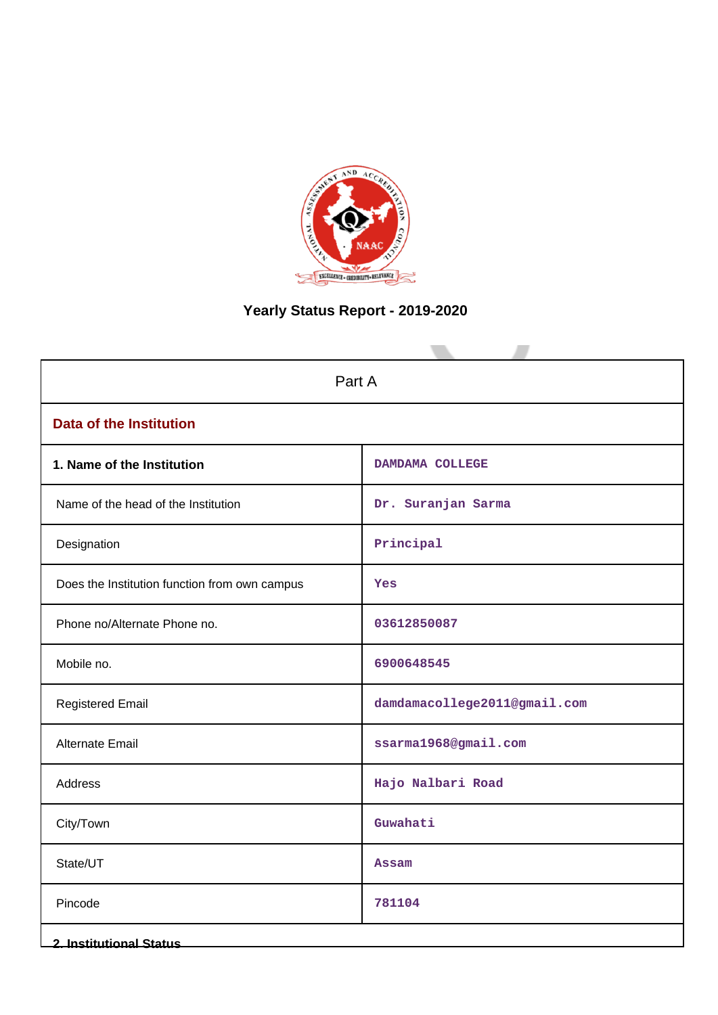

# **Yearly Status Report - 2019-2020**

| Part A                                        |                              |  |  |
|-----------------------------------------------|------------------------------|--|--|
| <b>Data of the Institution</b>                |                              |  |  |
| 1. Name of the Institution                    | DAMDAMA COLLEGE              |  |  |
| Name of the head of the Institution           | Dr. Suranjan Sarma           |  |  |
| Designation                                   | Principal                    |  |  |
| Does the Institution function from own campus | Yes                          |  |  |
| Phone no/Alternate Phone no.                  | 03612850087                  |  |  |
| Mobile no.                                    | 6900648545                   |  |  |
| <b>Registered Email</b>                       | damdamacollege2011@gmail.com |  |  |
| Alternate Email                               | ssarma1968@gmail.com         |  |  |
| Address                                       | Hajo Nalbari Road            |  |  |
| City/Town                                     | Guwahati                     |  |  |
| State/UT                                      | <b>Assam</b>                 |  |  |
| Pincode                                       | 781104                       |  |  |
| <b>2. Institutional Status</b>                |                              |  |  |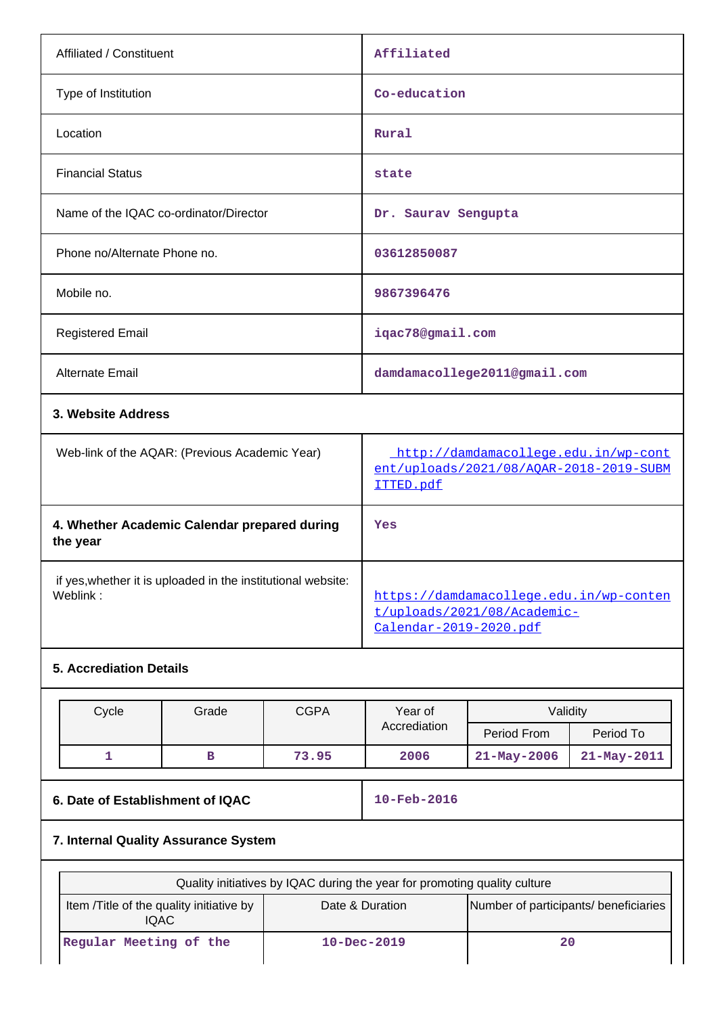| Affiliated / Constituent               | Affiliated                   |
|----------------------------------------|------------------------------|
| Type of Institution                    | Co-education                 |
| Location                               | Rural                        |
| <b>Financial Status</b>                | state                        |
| Name of the IQAC co-ordinator/Director | Dr. Saurav Sengupta          |
| Phone no/Alternate Phone no.           | 03612850087                  |
| Mobile no.                             | 9867396476                   |
| <b>Registered Email</b>                | iqac78@gmail.com             |
| Alternate Email                        | damdamacollege2011@gmail.com |
| 3. Website Address                     |                              |

| Web-link of the AQAR: (Previous Academic Year)                           | http://damdamacollege.edu.in/wp-cont<br>ent/uploads/2021/08/AOAR-2018-2019-SUBM<br>ITTED.pdf     |
|--------------------------------------------------------------------------|--------------------------------------------------------------------------------------------------|
| 4. Whether Academic Calendar prepared during<br>the year                 | Yes                                                                                              |
| if yes, whether it is uploaded in the institutional website:<br>Weblink: | https://damdamacollege.edu.in/wp-conten<br>t/uploads/2021/08/Academic-<br>Calendar-2019-2020.pdf |

## **5. Accrediation Details**

| Cycle | Grade | CGPA  | Year of      | Validity    |                   |
|-------|-------|-------|--------------|-------------|-------------------|
|       |       |       | Accrediation | Period From | Period To         |
|       |       | 73.95 | 2006         | 21-May-2006 | $21 - May - 2011$ |

# **6. Date of Establishment of IQAC** 10-Feb-2016

# **7. Internal Quality Assurance System**

| Quality initiatives by IQAC during the year for promoting quality culture |                                       |    |  |  |
|---------------------------------------------------------------------------|---------------------------------------|----|--|--|
| Item / Title of the quality initiative by<br><b>IQAC</b>                  | Number of participants/ beneficiaries |    |  |  |
| Regular Meeting of the                                                    | $10 - Dec - 2019$                     | 20 |  |  |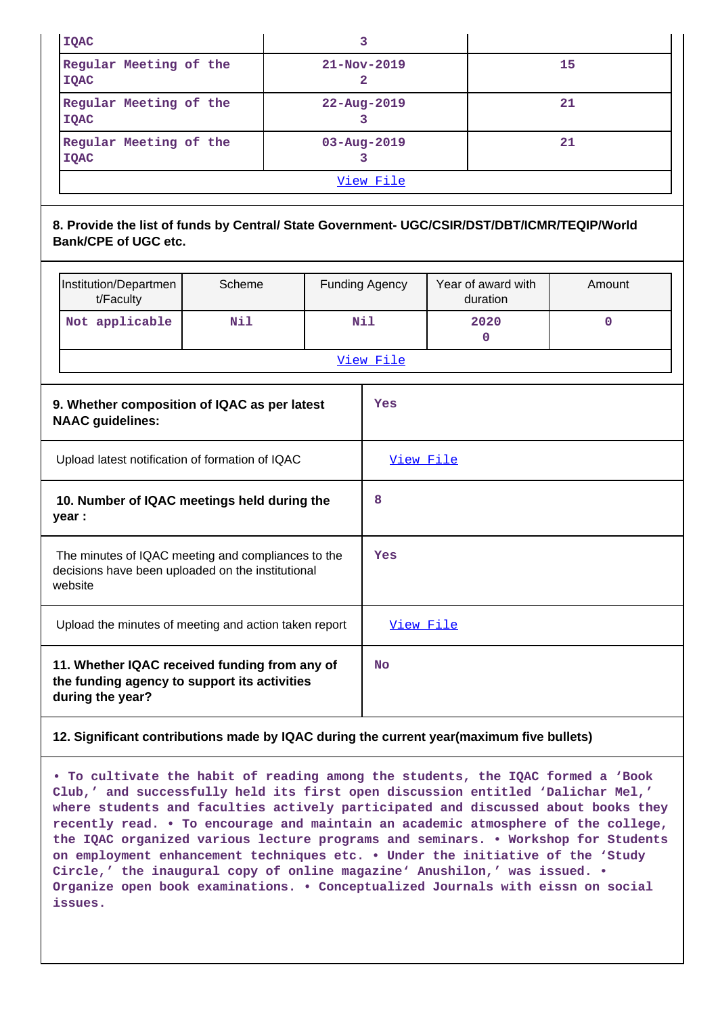| <b>IQAC</b>                                                |                   |    |  |  |
|------------------------------------------------------------|-------------------|----|--|--|
| Regular Meeting of the<br><b>IQAC</b>                      | $21 - Nov - 2019$ | 15 |  |  |
| Regular Meeting of the<br><b>IOAC</b>                      | $22 - Aug - 2019$ | 21 |  |  |
| Regular Meeting of the<br>$03 - Aug - 2019$<br><b>IOAC</b> |                   | 21 |  |  |
| View File                                                  |                   |    |  |  |

## **8. Provide the list of funds by Central/ State Government- UGC/CSIR/DST/DBT/ICMR/TEQIP/World Bank/CPE of UGC etc.**

|                                                       | Institution/Departmen<br>t/Faculty                                                                                 | Scheme |           | <b>Funding Agency</b> | Year of award with<br>duration | Amount      |  |
|-------------------------------------------------------|--------------------------------------------------------------------------------------------------------------------|--------|-----------|-----------------------|--------------------------------|-------------|--|
|                                                       | Not applicable                                                                                                     | Nil    |           | Nil                   | 2020<br>$\mathbf 0$            | $\mathbf 0$ |  |
|                                                       |                                                                                                                    |        | View File |                       |                                |             |  |
|                                                       | 9. Whether composition of IQAC as per latest<br><b>NAAC guidelines:</b>                                            |        |           | Yes                   |                                |             |  |
| Upload latest notification of formation of IQAC       |                                                                                                                    |        | View File |                       |                                |             |  |
| 10. Number of IQAC meetings held during the<br>year : |                                                                                                                    | 8      |           |                       |                                |             |  |
|                                                       | The minutes of IQAC meeting and compliances to the<br>decisions have been uploaded on the institutional<br>website |        |           | Yes                   |                                |             |  |
|                                                       | Upload the minutes of meeting and action taken report                                                              |        |           | View File             |                                |             |  |
|                                                       | 11. Whether IQAC received funding from any of<br>the funding agency to support its activities<br>during the year?  |        |           | <b>No</b>             |                                |             |  |

#### **12. Significant contributions made by IQAC during the current year(maximum five bullets)**

**• To cultivate the habit of reading among the students, the IQAC formed a 'Book Club,' and successfully held its first open discussion entitled 'Dalichar Mel,' where students and faculties actively participated and discussed about books they recently read. • To encourage and maintain an academic atmosphere of the college, the IQAC organized various lecture programs and seminars. • Workshop for Students on employment enhancement techniques etc. • Under the initiative of the 'Study Circle,' the inaugural copy of online magazine' Anushilon,' was issued. • Organize open book examinations. • Conceptualized Journals with eissn on social issues.**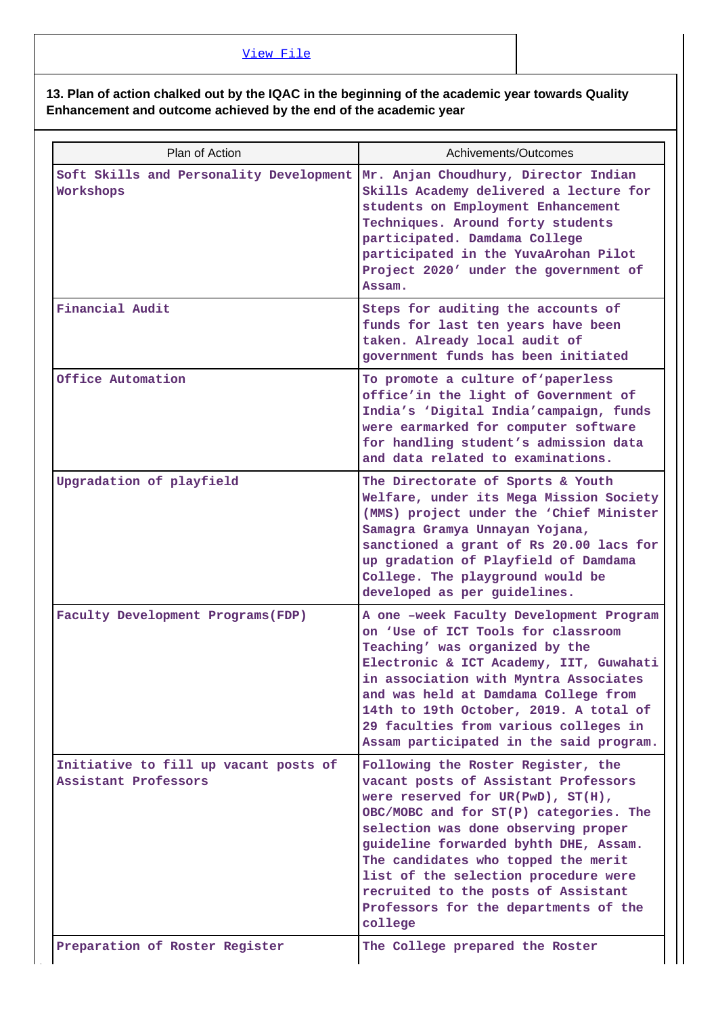### [View File](https://assessmentonline.naac.gov.in/public/Postacc/Contribution/13235_Contribution.xlsx)

#### **13. Plan of action chalked out by the IQAC in the beginning of the academic year towards Quality Enhancement and outcome achieved by the end of the academic year**

| Plan of Action                                                                            | Achivements/Outcomes                                                                                                                                                                                                                                                                                                                                                                                                |
|-------------------------------------------------------------------------------------------|---------------------------------------------------------------------------------------------------------------------------------------------------------------------------------------------------------------------------------------------------------------------------------------------------------------------------------------------------------------------------------------------------------------------|
| Soft Skills and Personality Development Mr. Anjan Choudhury, Director Indian<br>Workshops | Skills Academy delivered a lecture for<br>students on Employment Enhancement<br>Techniques. Around forty students<br>participated. Damdama College<br>participated in the YuvaArohan Pilot<br>Project 2020' under the government of<br>Assam.                                                                                                                                                                       |
| Financial Audit                                                                           | Steps for auditing the accounts of<br>funds for last ten years have been<br>taken. Already local audit of<br>government funds has been initiated                                                                                                                                                                                                                                                                    |
| Office Automation                                                                         | To promote a culture of 'paperless<br>office'in the light of Government of<br>India's 'Digital India'campaign, funds<br>were earmarked for computer software<br>for handling student's admission data<br>and data related to examinations.                                                                                                                                                                          |
| Upgradation of playfield                                                                  | The Directorate of Sports & Youth<br>Welfare, under its Mega Mission Society<br>(MMS) project under the 'Chief Minister<br>Samagra Gramya Unnayan Yojana,<br>sanctioned a grant of Rs 20.00 lacs for<br>up gradation of Playfield of Damdama<br>College. The playground would be<br>developed as per guidelines.                                                                                                    |
| Faculty Development Programs (FDP)                                                        | A one -week Faculty Development Program<br>on 'Use of ICT Tools for classroom<br>Teaching' was organized by the<br>Electronic & ICT Academy, IIT, Guwahati<br>in association with Myntra Associates<br>and was held at Damdama College from<br>14th to 19th October, 2019. A total of<br>29 faculties from various colleges in<br>Assam participated in the said program.                                           |
| Initiative to fill up vacant posts of<br>Assistant Professors                             | Following the Roster Register, the<br>vacant posts of Assistant Professors<br>were reserved for UR(PwD), ST(H),<br>OBC/MOBC and for ST(P) categories. The<br>selection was done observing proper<br>guideline forwarded byhth DHE, Assam.<br>The candidates who topped the merit<br>list of the selection procedure were<br>recruited to the posts of Assistant<br>Professors for the departments of the<br>college |
| Preparation of Roster Register                                                            | The College prepared the Roster                                                                                                                                                                                                                                                                                                                                                                                     |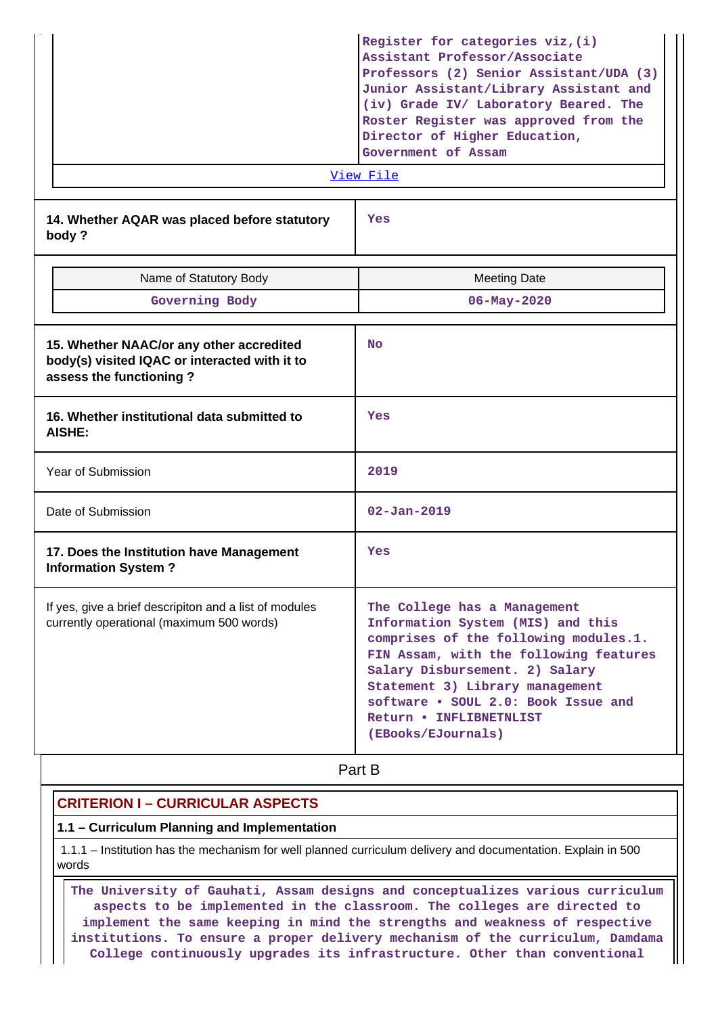| Government of Assam |  | Professors (2) Senior Assistant/UDA (3)<br>Junior Assistant/Library Assistant and<br>(iv) Grade IV/ Laboratory Beared. The<br>Roster Register was approved from the<br>Director of Higher Education, |
|---------------------|--|------------------------------------------------------------------------------------------------------------------------------------------------------------------------------------------------------|
|---------------------|--|------------------------------------------------------------------------------------------------------------------------------------------------------------------------------------------------------|

[View File](https://assessmentonline.naac.gov.in/public/Postacc/Quality/13235_Quality.xlsx)

**14. Whether AQAR was placed before statutory body ?**

**Yes**

| Name of Statutory Body<br>Governing Body                                                                             | <b>Meeting Date</b><br>$06 - May - 2020$                                                                                                                                                                                                                                                                          |
|----------------------------------------------------------------------------------------------------------------------|-------------------------------------------------------------------------------------------------------------------------------------------------------------------------------------------------------------------------------------------------------------------------------------------------------------------|
| 15. Whether NAAC/or any other accredited<br>body(s) visited IQAC or interacted with it to<br>assess the functioning? | <b>No</b>                                                                                                                                                                                                                                                                                                         |
| 16. Whether institutional data submitted to<br><b>AISHE:</b>                                                         | Yes                                                                                                                                                                                                                                                                                                               |
| Year of Submission                                                                                                   | 2019                                                                                                                                                                                                                                                                                                              |
| Date of Submission                                                                                                   | $02 - Jan - 2019$                                                                                                                                                                                                                                                                                                 |
| 17. Does the Institution have Management<br><b>Information System?</b>                                               | Yes                                                                                                                                                                                                                                                                                                               |
| If yes, give a brief descripiton and a list of modules<br>currently operational (maximum 500 words)                  | The College has a Management<br>Information System (MIS) and this<br>comprises of the following modules.1.<br>FIN Assam, with the following features<br>Salary Disbursement. 2) Salary<br>Statement 3) Library management<br>software . SOUL 2.0: Book Issue and<br>Return . INFLIBNETNLIST<br>(EBooks/EJournals) |

**Part B** 

## **CRITERION I – CURRICULAR ASPECTS**

#### **1.1 – Curriculum Planning and Implementation**

 1.1.1 – Institution has the mechanism for well planned curriculum delivery and documentation. Explain in 500 words

 **The University of Gauhati, Assam designs and conceptualizes various curriculum aspects to be implemented in the classroom. The colleges are directed to implement the same keeping in mind the strengths and weakness of respective institutions. To ensure a proper delivery mechanism of the curriculum, Damdama College continuously upgrades its infrastructure. Other than conventional**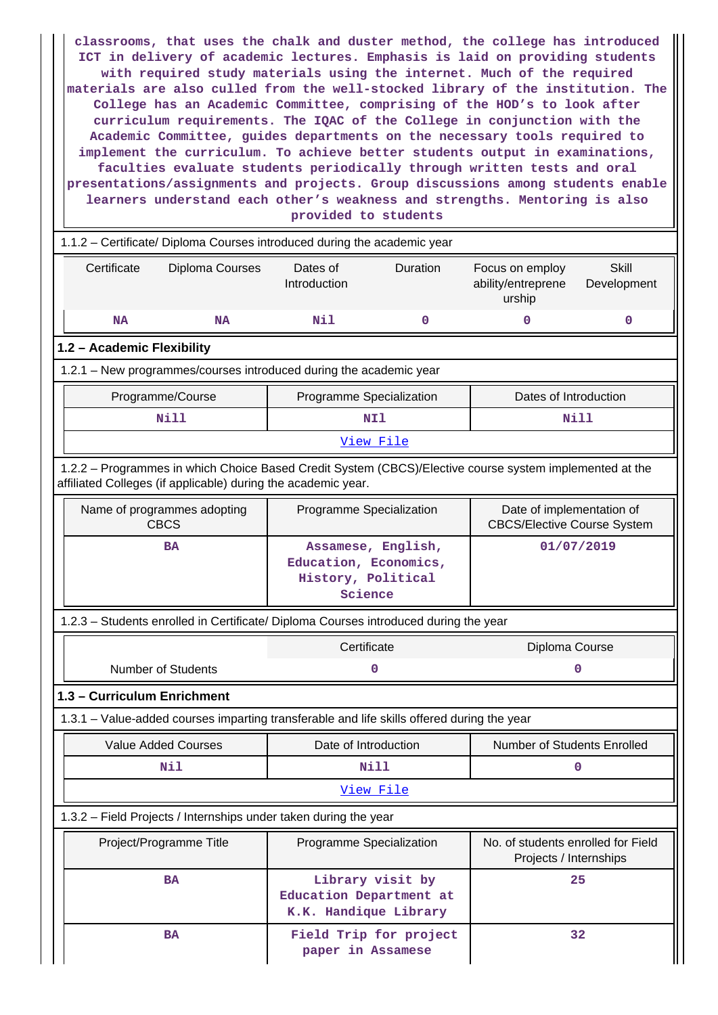**classrooms, that uses the chalk and duster method, the college has introduced ICT in delivery of academic lectures. Emphasis is laid on providing students with required study materials using the internet. Much of the required materials are also culled from the well-stocked library of the institution. The College has an Academic Committee, comprising of the HOD's to look after curriculum requirements. The IQAC of the College in conjunction with the Academic Committee, guides departments on the necessary tools required to implement the curriculum. To achieve better students output in examinations, faculties evaluate students periodically through written tests and oral presentations/assignments and projects. Group discussions among students enable learners understand each other's weakness and strengths. Mentoring is also provided to students**

|                                                                                                                                                                          | 1.1.2 - Certificate/ Diploma Courses introduced during the academic year |                    |                                                                 |                             |  |  |  |
|--------------------------------------------------------------------------------------------------------------------------------------------------------------------------|--------------------------------------------------------------------------|--------------------|-----------------------------------------------------------------|-----------------------------|--|--|--|
| Certificate<br>Diploma Courses                                                                                                                                           | Dates of<br>Introduction                                                 | Duration           | Focus on employ<br>ability/entreprene<br>urship                 | <b>Skill</b><br>Development |  |  |  |
| <b>NA</b><br><b>NA</b>                                                                                                                                                   | Nil                                                                      | 0                  | $\mathbf 0$                                                     | 0                           |  |  |  |
| 1.2 - Academic Flexibility                                                                                                                                               |                                                                          |                    |                                                                 |                             |  |  |  |
| 1.2.1 - New programmes/courses introduced during the academic year                                                                                                       |                                                                          |                    |                                                                 |                             |  |  |  |
| Programme/Course                                                                                                                                                         | Programme Specialization                                                 |                    | Dates of Introduction                                           |                             |  |  |  |
| <b>Nill</b>                                                                                                                                                              |                                                                          | NI1                |                                                                 | Nill                        |  |  |  |
|                                                                                                                                                                          |                                                                          | View File          |                                                                 |                             |  |  |  |
| 1.2.2 - Programmes in which Choice Based Credit System (CBCS)/Elective course system implemented at the<br>affiliated Colleges (if applicable) during the academic year. |                                                                          |                    |                                                                 |                             |  |  |  |
| Name of programmes adopting<br><b>CBCS</b>                                                                                                                               | Programme Specialization                                                 |                    | Date of implementation of<br><b>CBCS/Elective Course System</b> |                             |  |  |  |
| <b>BA</b>                                                                                                                                                                | Education, Economics,<br>History, Political<br>Science                   | Assamese, English, | 01/07/2019                                                      |                             |  |  |  |
| 1.2.3 - Students enrolled in Certificate/ Diploma Courses introduced during the year                                                                                     |                                                                          |                    |                                                                 |                             |  |  |  |
| Certificate<br>Diploma Course                                                                                                                                            |                                                                          |                    |                                                                 |                             |  |  |  |
| <b>Number of Students</b><br>0<br>ი                                                                                                                                      |                                                                          |                    |                                                                 |                             |  |  |  |
| 1.3 - Curriculum Enrichment                                                                                                                                              |                                                                          |                    |                                                                 |                             |  |  |  |
| 1.3.1 – Value-added courses imparting transferable and life skills offered during the year                                                                               |                                                                          |                    |                                                                 |                             |  |  |  |
| <b>Value Added Courses</b>                                                                                                                                               | Date of Introduction                                                     |                    | Number of Students Enrolled                                     |                             |  |  |  |
| Nil                                                                                                                                                                      |                                                                          | Nill               |                                                                 | O                           |  |  |  |
|                                                                                                                                                                          |                                                                          | View File          |                                                                 |                             |  |  |  |
| 1.3.2 - Field Projects / Internships under taken during the year                                                                                                         |                                                                          |                    |                                                                 |                             |  |  |  |
| Project/Programme Title                                                                                                                                                  | Programme Specialization                                                 |                    | No. of students enrolled for Field<br>Projects / Internships    |                             |  |  |  |
| <b>BA</b>                                                                                                                                                                | Education Department at<br>K.K. Handique Library                         | Library visit by   |                                                                 | 25                          |  |  |  |
| <b>BA</b>                                                                                                                                                                | 32<br>Field Trip for project<br>paper in Assamese                        |                    |                                                                 |                             |  |  |  |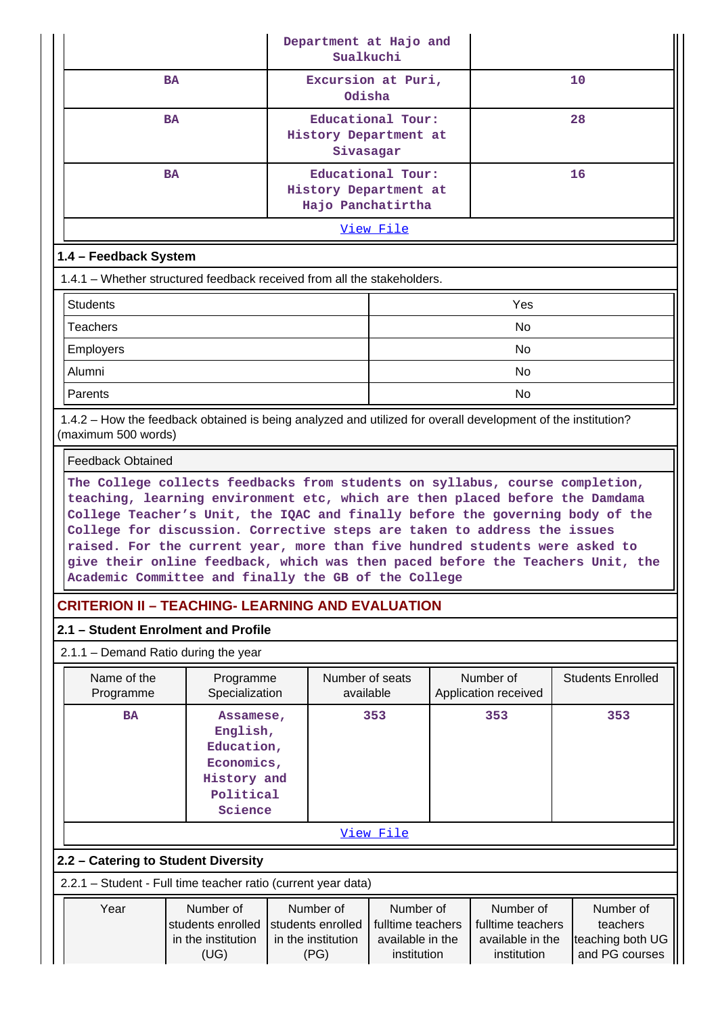| Department at Hajo and<br>Sualkuchi                                                                                                                                                                                                                                                                                                                                                                                                                                |                                                                                                                                                                                                                                                                                                                                       |                                                                 |                  |  |                                   |                          |  |
|--------------------------------------------------------------------------------------------------------------------------------------------------------------------------------------------------------------------------------------------------------------------------------------------------------------------------------------------------------------------------------------------------------------------------------------------------------------------|---------------------------------------------------------------------------------------------------------------------------------------------------------------------------------------------------------------------------------------------------------------------------------------------------------------------------------------|-----------------------------------------------------------------|------------------|--|-----------------------------------|--------------------------|--|
| <b>BA</b>                                                                                                                                                                                                                                                                                                                                                                                                                                                          |                                                                                                                                                                                                                                                                                                                                       | Excursion at Puri,<br>Odisha                                    |                  |  |                                   | 10                       |  |
| <b>BA</b>                                                                                                                                                                                                                                                                                                                                                                                                                                                          |                                                                                                                                                                                                                                                                                                                                       | Educational Tour:<br>History Department at<br>Sivasagar         |                  |  |                                   | 28                       |  |
| <b>BA</b>                                                                                                                                                                                                                                                                                                                                                                                                                                                          |                                                                                                                                                                                                                                                                                                                                       | Educational Tour:<br>History Department at<br>Hajo Panchatirtha |                  |  |                                   | 16                       |  |
|                                                                                                                                                                                                                                                                                                                                                                                                                                                                    |                                                                                                                                                                                                                                                                                                                                       |                                                                 | <u>View File</u> |  |                                   |                          |  |
| 1.4 - Feedback System                                                                                                                                                                                                                                                                                                                                                                                                                                              |                                                                                                                                                                                                                                                                                                                                       |                                                                 |                  |  |                                   |                          |  |
| 1.4.1 - Whether structured feedback received from all the stakeholders.                                                                                                                                                                                                                                                                                                                                                                                            |                                                                                                                                                                                                                                                                                                                                       |                                                                 |                  |  |                                   |                          |  |
| <b>Students</b><br>Yes                                                                                                                                                                                                                                                                                                                                                                                                                                             |                                                                                                                                                                                                                                                                                                                                       |                                                                 |                  |  |                                   |                          |  |
| <b>Teachers</b>                                                                                                                                                                                                                                                                                                                                                                                                                                                    |                                                                                                                                                                                                                                                                                                                                       |                                                                 |                  |  | No                                |                          |  |
| <b>Employers</b>                                                                                                                                                                                                                                                                                                                                                                                                                                                   |                                                                                                                                                                                                                                                                                                                                       |                                                                 |                  |  | No.                               |                          |  |
| Alumni                                                                                                                                                                                                                                                                                                                                                                                                                                                             |                                                                                                                                                                                                                                                                                                                                       |                                                                 |                  |  | No                                |                          |  |
| Parents                                                                                                                                                                                                                                                                                                                                                                                                                                                            |                                                                                                                                                                                                                                                                                                                                       |                                                                 |                  |  | No.                               |                          |  |
| 1.4.2 – How the feedback obtained is being analyzed and utilized for overall development of the institution?<br>(maximum 500 words)                                                                                                                                                                                                                                                                                                                                |                                                                                                                                                                                                                                                                                                                                       |                                                                 |                  |  |                                   |                          |  |
| <b>Feedback Obtained</b>                                                                                                                                                                                                                                                                                                                                                                                                                                           |                                                                                                                                                                                                                                                                                                                                       |                                                                 |                  |  |                                   |                          |  |
| teaching, learning environment etc, which are then placed before the Damdama<br>College Teacher's Unit, the IQAC and finally before the governing body of the<br>College for discussion. Corrective steps are taken to address the issues<br>raised. For the current year, more than five hundred students were asked to<br>give their online feedback, which was then paced before the Teachers Unit, the<br>Academic Committee and finally the GB of the College |                                                                                                                                                                                                                                                                                                                                       |                                                                 |                  |  |                                   |                          |  |
| <b>CRITERION II - TEACHING- LEARNING AND EVALUATION</b>                                                                                                                                                                                                                                                                                                                                                                                                            |                                                                                                                                                                                                                                                                                                                                       |                                                                 |                  |  |                                   |                          |  |
| 2.1 - Student Enrolment and Profile                                                                                                                                                                                                                                                                                                                                                                                                                                |                                                                                                                                                                                                                                                                                                                                       |                                                                 |                  |  |                                   |                          |  |
| $2.1.1 -$ Demand Ratio during the year                                                                                                                                                                                                                                                                                                                                                                                                                             |                                                                                                                                                                                                                                                                                                                                       |                                                                 |                  |  |                                   |                          |  |
| Name of the<br>Programme                                                                                                                                                                                                                                                                                                                                                                                                                                           | Programme<br>Specialization                                                                                                                                                                                                                                                                                                           | Number of seats<br>available                                    |                  |  | Number of<br>Application received | <b>Students Enrolled</b> |  |
| <b>BA</b>                                                                                                                                                                                                                                                                                                                                                                                                                                                          | Assamese,<br>English,<br>Education,<br>Economics,<br>History and<br>Political<br>Science                                                                                                                                                                                                                                              | 353                                                             |                  |  | 353                               | 353                      |  |
|                                                                                                                                                                                                                                                                                                                                                                                                                                                                    |                                                                                                                                                                                                                                                                                                                                       |                                                                 | View File        |  |                                   |                          |  |
| 2.2 - Catering to Student Diversity                                                                                                                                                                                                                                                                                                                                                                                                                                |                                                                                                                                                                                                                                                                                                                                       |                                                                 |                  |  |                                   |                          |  |
| 2.2.1 - Student - Full time teacher ratio (current year data)                                                                                                                                                                                                                                                                                                                                                                                                      |                                                                                                                                                                                                                                                                                                                                       |                                                                 |                  |  |                                   |                          |  |
| Year                                                                                                                                                                                                                                                                                                                                                                                                                                                               | Number of<br>Number of<br>Number of<br>Number of<br>Number of<br>students enrolled<br>students enrolled<br>fulltime teachers<br>fulltime teachers<br>teachers<br>teaching both UG<br>in the institution<br>in the institution<br>available in the<br>available in the<br>and PG courses<br>(UG)<br>(PG)<br>institution<br>institution |                                                                 |                  |  |                                   |                          |  |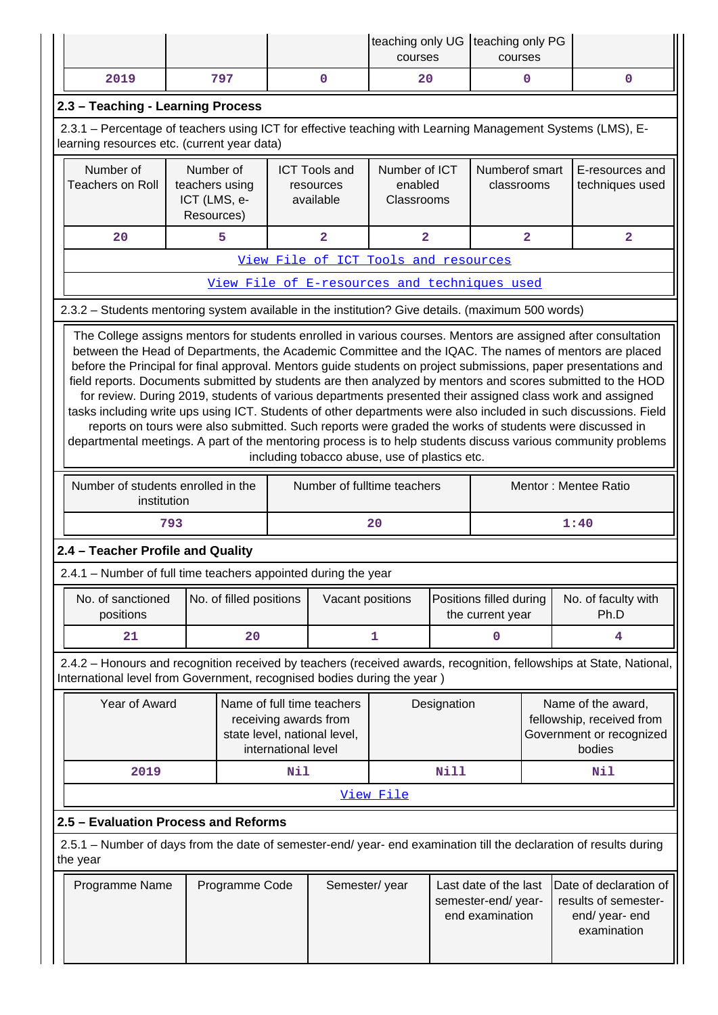|                                                                                                                                                                                                                                                                                                                                                                                                                                                                                                                                                                                                                                                                                                                                                                                                                                                                                                                                                                       |                                                           |                         |                     |                                                                                     | teaching only UG   teaching only PG<br>courses                 |             | courses                                     |                                                                                 |                                                                                                                     |  |
|-----------------------------------------------------------------------------------------------------------------------------------------------------------------------------------------------------------------------------------------------------------------------------------------------------------------------------------------------------------------------------------------------------------------------------------------------------------------------------------------------------------------------------------------------------------------------------------------------------------------------------------------------------------------------------------------------------------------------------------------------------------------------------------------------------------------------------------------------------------------------------------------------------------------------------------------------------------------------|-----------------------------------------------------------|-------------------------|---------------------|-------------------------------------------------------------------------------------|----------------------------------------------------------------|-------------|---------------------------------------------|---------------------------------------------------------------------------------|---------------------------------------------------------------------------------------------------------------------|--|
| 2019                                                                                                                                                                                                                                                                                                                                                                                                                                                                                                                                                                                                                                                                                                                                                                                                                                                                                                                                                                  |                                                           | 797                     |                     | $\mathbf 0$                                                                         | 20                                                             |             |                                             | $\mathbf{0}$                                                                    | $\mathbf 0$                                                                                                         |  |
| 2.3 - Teaching - Learning Process                                                                                                                                                                                                                                                                                                                                                                                                                                                                                                                                                                                                                                                                                                                                                                                                                                                                                                                                     |                                                           |                         |                     |                                                                                     |                                                                |             |                                             |                                                                                 |                                                                                                                     |  |
| 2.3.1 – Percentage of teachers using ICT for effective teaching with Learning Management Systems (LMS), E-<br>learning resources etc. (current year data)                                                                                                                                                                                                                                                                                                                                                                                                                                                                                                                                                                                                                                                                                                                                                                                                             |                                                           |                         |                     |                                                                                     |                                                                |             |                                             |                                                                                 |                                                                                                                     |  |
| Number of<br><b>Teachers on Roll</b>                                                                                                                                                                                                                                                                                                                                                                                                                                                                                                                                                                                                                                                                                                                                                                                                                                                                                                                                  | Number of<br>teachers using<br>ICT (LMS, e-<br>Resources) |                         |                     | <b>ICT Tools and</b><br>resources<br>available                                      | Number of ICT<br>enabled<br>Classrooms                         |             | Numberof smart<br>classrooms                |                                                                                 | E-resources and<br>techniques used                                                                                  |  |
| 20                                                                                                                                                                                                                                                                                                                                                                                                                                                                                                                                                                                                                                                                                                                                                                                                                                                                                                                                                                    |                                                           | 5                       |                     | $\overline{\mathbf{2}}$                                                             | $\overline{\mathbf{2}}$                                        |             |                                             | $\overline{\mathbf{2}}$                                                         | $\overline{\mathbf{2}}$                                                                                             |  |
|                                                                                                                                                                                                                                                                                                                                                                                                                                                                                                                                                                                                                                                                                                                                                                                                                                                                                                                                                                       |                                                           |                         |                     | View File of ICT Tools and resources                                                |                                                                |             |                                             |                                                                                 |                                                                                                                     |  |
|                                                                                                                                                                                                                                                                                                                                                                                                                                                                                                                                                                                                                                                                                                                                                                                                                                                                                                                                                                       |                                                           |                         |                     | View File of E-resources and techniques used                                        |                                                                |             |                                             |                                                                                 |                                                                                                                     |  |
| 2.3.2 - Students mentoring system available in the institution? Give details. (maximum 500 words)                                                                                                                                                                                                                                                                                                                                                                                                                                                                                                                                                                                                                                                                                                                                                                                                                                                                     |                                                           |                         |                     |                                                                                     |                                                                |             |                                             |                                                                                 |                                                                                                                     |  |
| The College assigns mentors for students enrolled in various courses. Mentors are assigned after consultation<br>between the Head of Departments, the Academic Committee and the IQAC. The names of mentors are placed<br>before the Principal for final approval. Mentors guide students on project submissions, paper presentations and<br>field reports. Documents submitted by students are then analyzed by mentors and scores submitted to the HOD<br>for review. During 2019, students of various departments presented their assigned class work and assigned<br>tasks including write ups using ICT. Students of other departments were also included in such discussions. Field<br>reports on tours were also submitted. Such reports were graded the works of students were discussed in<br>departmental meetings. A part of the mentoring process is to help students discuss various community problems<br>including tobacco abuse, use of plastics etc. |                                                           |                         |                     |                                                                                     |                                                                |             |                                             |                                                                                 |                                                                                                                     |  |
| Number of students enrolled in the<br>institution                                                                                                                                                                                                                                                                                                                                                                                                                                                                                                                                                                                                                                                                                                                                                                                                                                                                                                                     |                                                           |                         |                     | Number of fulltime teachers                                                         |                                                                |             |                                             |                                                                                 | Mentor: Mentee Ratio                                                                                                |  |
|                                                                                                                                                                                                                                                                                                                                                                                                                                                                                                                                                                                                                                                                                                                                                                                                                                                                                                                                                                       | 793                                                       |                         |                     |                                                                                     | 20                                                             |             |                                             |                                                                                 | 1:40                                                                                                                |  |
| 2.4 - Teacher Profile and Quality                                                                                                                                                                                                                                                                                                                                                                                                                                                                                                                                                                                                                                                                                                                                                                                                                                                                                                                                     |                                                           |                         |                     |                                                                                     |                                                                |             |                                             |                                                                                 |                                                                                                                     |  |
| 2.4.1 – Number of full time teachers appointed during the year                                                                                                                                                                                                                                                                                                                                                                                                                                                                                                                                                                                                                                                                                                                                                                                                                                                                                                        |                                                           |                         |                     |                                                                                     |                                                                |             |                                             |                                                                                 |                                                                                                                     |  |
| No. of sanctioned<br>positions                                                                                                                                                                                                                                                                                                                                                                                                                                                                                                                                                                                                                                                                                                                                                                                                                                                                                                                                        |                                                           | No. of filled positions |                     | Vacant positions                                                                    |                                                                |             | Positions filled during<br>the current year |                                                                                 | No. of faculty with<br>Ph.D                                                                                         |  |
| 21                                                                                                                                                                                                                                                                                                                                                                                                                                                                                                                                                                                                                                                                                                                                                                                                                                                                                                                                                                    |                                                           | 20                      |                     |                                                                                     | 1                                                              |             | 0                                           |                                                                                 | 4                                                                                                                   |  |
| International level from Government, recognised bodies during the year)                                                                                                                                                                                                                                                                                                                                                                                                                                                                                                                                                                                                                                                                                                                                                                                                                                                                                               |                                                           |                         |                     |                                                                                     |                                                                |             |                                             |                                                                                 | 2.4.2 - Honours and recognition received by teachers (received awards, recognition, fellowships at State, National, |  |
| Year of Award                                                                                                                                                                                                                                                                                                                                                                                                                                                                                                                                                                                                                                                                                                                                                                                                                                                                                                                                                         |                                                           |                         | international level | Name of full time teachers<br>receiving awards from<br>state level, national level, |                                                                | Designation |                                             |                                                                                 | Name of the award,<br>fellowship, received from<br>Government or recognized<br>bodies                               |  |
| 2019                                                                                                                                                                                                                                                                                                                                                                                                                                                                                                                                                                                                                                                                                                                                                                                                                                                                                                                                                                  |                                                           |                         | Nil                 |                                                                                     |                                                                | Nill        |                                             |                                                                                 | Nil                                                                                                                 |  |
|                                                                                                                                                                                                                                                                                                                                                                                                                                                                                                                                                                                                                                                                                                                                                                                                                                                                                                                                                                       |                                                           |                         |                     |                                                                                     | View File                                                      |             |                                             |                                                                                 |                                                                                                                     |  |
| 2.5 - Evaluation Process and Reforms                                                                                                                                                                                                                                                                                                                                                                                                                                                                                                                                                                                                                                                                                                                                                                                                                                                                                                                                  |                                                           |                         |                     |                                                                                     |                                                                |             |                                             |                                                                                 |                                                                                                                     |  |
| 2.5.1 – Number of days from the date of semester-end/ year- end examination till the declaration of results during<br>the year                                                                                                                                                                                                                                                                                                                                                                                                                                                                                                                                                                                                                                                                                                                                                                                                                                        |                                                           |                         |                     |                                                                                     |                                                                |             |                                             |                                                                                 |                                                                                                                     |  |
| Programme Name<br>Programme Code                                                                                                                                                                                                                                                                                                                                                                                                                                                                                                                                                                                                                                                                                                                                                                                                                                                                                                                                      |                                                           |                         | Semester/year       |                                                                                     | Last date of the last<br>semester-end/year-<br>end examination |             |                                             | Date of declaration of<br>results of semester-<br>end/ year- end<br>examination |                                                                                                                     |  |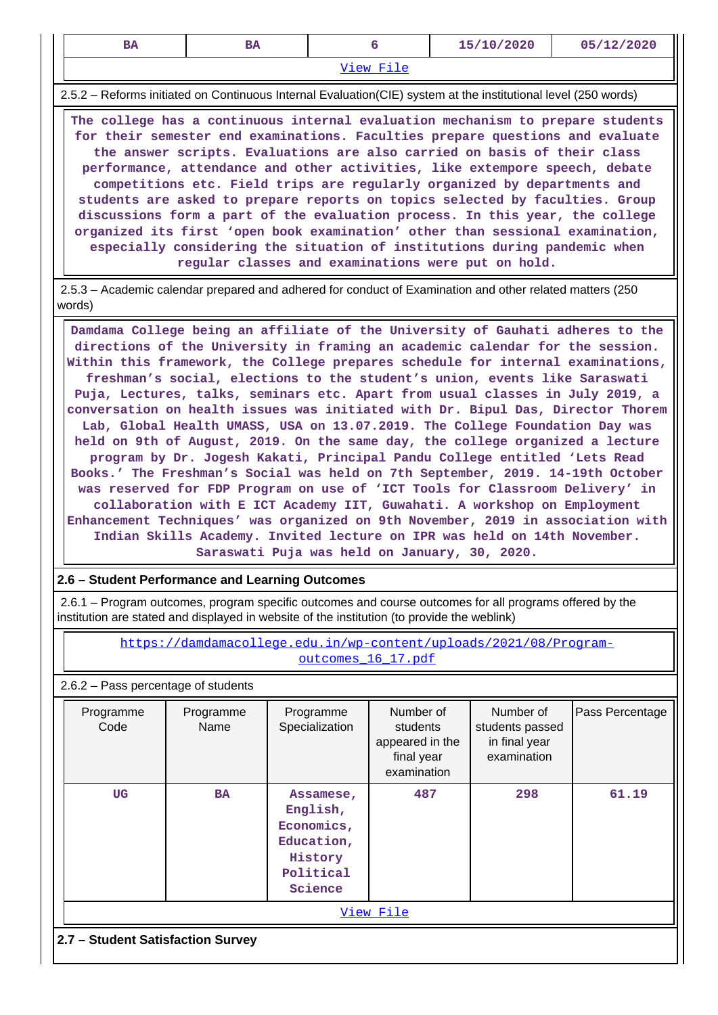| <b>BA</b>                                                                                                                                                                                                                                                                                                                                                                                                                                                                                                                                                                                                                                                                                                                                                                                  | <b>BA</b> | 6 | 15/10/2020 | 05/12/2020 |  |  |  |  |  |  |
|--------------------------------------------------------------------------------------------------------------------------------------------------------------------------------------------------------------------------------------------------------------------------------------------------------------------------------------------------------------------------------------------------------------------------------------------------------------------------------------------------------------------------------------------------------------------------------------------------------------------------------------------------------------------------------------------------------------------------------------------------------------------------------------------|-----------|---|------------|------------|--|--|--|--|--|--|
| View File                                                                                                                                                                                                                                                                                                                                                                                                                                                                                                                                                                                                                                                                                                                                                                                  |           |   |            |            |  |  |  |  |  |  |
| 2.5.2 - Reforms initiated on Continuous Internal Evaluation(CIE) system at the institutional level (250 words)                                                                                                                                                                                                                                                                                                                                                                                                                                                                                                                                                                                                                                                                             |           |   |            |            |  |  |  |  |  |  |
| The college has a continuous internal evaluation mechanism to prepare students<br>for their semester end examinations. Faculties prepare questions and evaluate<br>the answer scripts. Evaluations are also carried on basis of their class<br>performance, attendance and other activities, like extempore speech, debate<br>competitions etc. Field trips are regularly organized by departments and<br>students are asked to prepare reports on topics selected by faculties. Group<br>discussions form a part of the evaluation process. In this year, the college<br>organized its first 'open book examination' other than sessional examination,<br>especially considering the situation of institutions during pandemic when<br>regular classes and examinations were put on hold. |           |   |            |            |  |  |  |  |  |  |
| 2.5.3 – Academic calendar prepared and adhered for conduct of Examination and other related matters (250)<br>words)                                                                                                                                                                                                                                                                                                                                                                                                                                                                                                                                                                                                                                                                        |           |   |            |            |  |  |  |  |  |  |

 **Damdama College being an affiliate of the University of Gauhati adheres to the directions of the University in framing an academic calendar for the session. Within this framework, the College prepares schedule for internal examinations, freshman's social, elections to the student's union, events like Saraswati Puja, Lectures, talks, seminars etc. Apart from usual classes in July 2019, a conversation on health issues was initiated with Dr. Bipul Das, Director Thorem Lab, Global Health UMASS, USA on 13.07.2019. The College Foundation Day was held on 9th of August, 2019. On the same day, the college organized a lecture program by Dr. Jogesh Kakati, Principal Pandu College entitled 'Lets Read Books.' The Freshman's Social was held on 7th September, 2019. 14-19th October was reserved for FDP Program on use of 'ICT Tools for Classroom Delivery' in collaboration with E ICT Academy IIT, Guwahati. A workshop on Employment Enhancement Techniques' was organized on 9th November, 2019 in association with Indian Skills Academy. Invited lecture on IPR was held on 14th November. Saraswati Puja was held on January, 30, 2020.**

#### **2.6 – Student Performance and Learning Outcomes**

 2.6.1 – Program outcomes, program specific outcomes and course outcomes for all programs offered by the institution are stated and displayed in website of the institution (to provide the weblink)

> [https://damdamacollege.edu.in/wp-content/uploads/2021/08/Program](https://damdamacollege.edu.in/wp-content/uploads/2021/08/Program-outcomes_16_17.pdf)[outcomes\\_16\\_17.pdf](https://damdamacollege.edu.in/wp-content/uploads/2021/08/Program-outcomes_16_17.pdf)

2.6.2 – Pass percentage of students

|           | Programme<br>Code                 | Programme<br>Name | Programme<br>Specialization                                                          | Number of<br>students<br>appeared in the<br>final year<br>examination | Number of<br>students passed<br>in final year<br>examination | Pass Percentage |  |  |  |  |
|-----------|-----------------------------------|-------------------|--------------------------------------------------------------------------------------|-----------------------------------------------------------------------|--------------------------------------------------------------|-----------------|--|--|--|--|
|           | UG                                | <b>BA</b>         | Assamese,<br>English,<br>Economics,<br>Education,<br>History<br>Political<br>Science | 487                                                                   | 298                                                          | 61.19           |  |  |  |  |
| View File |                                   |                   |                                                                                      |                                                                       |                                                              |                 |  |  |  |  |
|           | 2.7 - Student Satisfaction Survey |                   |                                                                                      |                                                                       |                                                              |                 |  |  |  |  |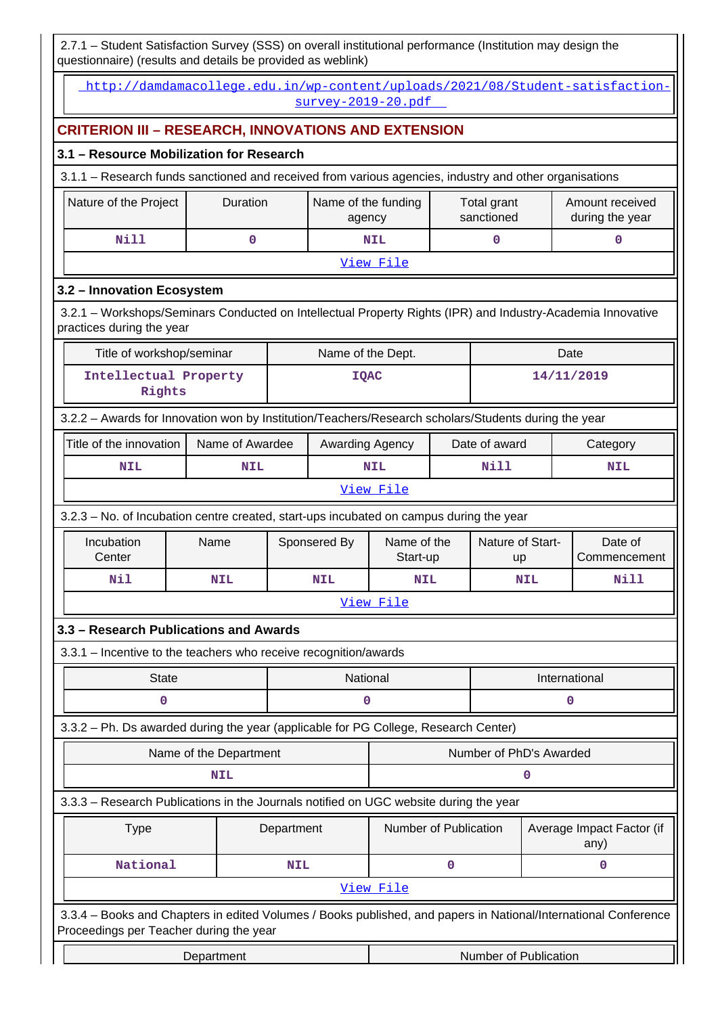2.7.1 – Student Satisfaction Survey (SSS) on overall institutional performance (Institution may design the questionnaire) (results and details be provided as weblink)

|                                                                                                                                                            |                        |            | survey-2019-20.pdf            |                                                            |   |                           |             | http://damdamacollege.edu.in/wp-content/uploads/2021/08/Student-satisfaction- |
|------------------------------------------------------------------------------------------------------------------------------------------------------------|------------------------|------------|-------------------------------|------------------------------------------------------------|---|---------------------------|-------------|-------------------------------------------------------------------------------|
| <b>CRITERION III - RESEARCH, INNOVATIONS AND EXTENSION</b>                                                                                                 |                        |            |                               |                                                            |   |                           |             |                                                                               |
| 3.1 - Resource Mobilization for Research                                                                                                                   |                        |            |                               |                                                            |   |                           |             |                                                                               |
| 3.1.1 - Research funds sanctioned and received from various agencies, industry and other organisations                                                     |                        |            |                               |                                                            |   |                           |             |                                                                               |
| Nature of the Project                                                                                                                                      | Duration               |            | Name of the funding<br>agency |                                                            |   | Total grant<br>sanctioned |             | Amount received<br>during the year                                            |
| <b>Nill</b>                                                                                                                                                | 0                      |            |                               | <b>NIL</b>                                                 |   | 0                         |             | 0                                                                             |
|                                                                                                                                                            |                        |            |                               | View File                                                  |   |                           |             |                                                                               |
| 3.2 - Innovation Ecosystem                                                                                                                                 |                        |            |                               |                                                            |   |                           |             |                                                                               |
| 3.2.1 - Workshops/Seminars Conducted on Intellectual Property Rights (IPR) and Industry-Academia Innovative<br>practices during the year                   |                        |            |                               |                                                            |   |                           |             |                                                                               |
| Title of workshop/seminar                                                                                                                                  |                        |            | Name of the Dept.             |                                                            |   |                           |             | Date                                                                          |
| Intellectual Property<br>Rights                                                                                                                            |                        |            |                               | <b>IQAC</b>                                                |   |                           |             | 14/11/2019                                                                    |
| 3.2.2 - Awards for Innovation won by Institution/Teachers/Research scholars/Students during the year                                                       |                        |            |                               |                                                            |   |                           |             |                                                                               |
| Title of the innovation                                                                                                                                    | Name of Awardee        |            | Awarding Agency               |                                                            |   | Date of award             |             | Category                                                                      |
| <b>NIL</b>                                                                                                                                                 | <b>NIL</b>             |            |                               | <b>Nill</b><br><b>NIL</b>                                  |   |                           | NIL         |                                                                               |
|                                                                                                                                                            |                        |            |                               | View File                                                  |   |                           |             |                                                                               |
| 3.2.3 - No. of Incubation centre created, start-ups incubated on campus during the year                                                                    |                        |            |                               |                                                            |   |                           |             |                                                                               |
| Incubation<br>Center                                                                                                                                       | Name                   |            | Sponsered By                  | Name of the<br>Start-up                                    |   | Nature of Start-<br>up    |             | Date of<br>Commencement                                                       |
| Nil                                                                                                                                                        | <b>NIL</b>             |            | <b>NIL</b>                    | <b>NIL</b>                                                 |   |                           | <b>NIL</b>  | Nill                                                                          |
|                                                                                                                                                            |                        |            |                               | View File                                                  |   |                           |             |                                                                               |
| 3.3 - Research Publications and Awards                                                                                                                     |                        |            |                               |                                                            |   |                           |             |                                                                               |
| 3.3.1 - Incentive to the teachers who receive recognition/awards                                                                                           |                        |            |                               |                                                            |   |                           |             |                                                                               |
| <b>State</b>                                                                                                                                               |                        |            | National                      |                                                            |   |                           |             | International                                                                 |
| 0                                                                                                                                                          |                        |            | 0                             |                                                            |   |                           |             | 0                                                                             |
| 3.3.2 - Ph. Ds awarded during the year (applicable for PG College, Research Center)                                                                        |                        |            |                               |                                                            |   |                           |             |                                                                               |
|                                                                                                                                                            | Name of the Department |            |                               |                                                            |   | Number of PhD's Awarded   |             |                                                                               |
|                                                                                                                                                            | <b>NIL</b>             |            |                               |                                                            |   |                           | $\mathbf 0$ |                                                                               |
| 3.3.3 - Research Publications in the Journals notified on UGC website during the year                                                                      |                        |            |                               |                                                            |   |                           |             |                                                                               |
| <b>Type</b>                                                                                                                                                |                        | Department |                               | Number of Publication<br>Average Impact Factor (if<br>any) |   |                           |             |                                                                               |
| National                                                                                                                                                   |                        | <b>NIL</b> |                               |                                                            | 0 |                           |             | 0                                                                             |
|                                                                                                                                                            |                        |            |                               | View File                                                  |   |                           |             |                                                                               |
| 3.3.4 - Books and Chapters in edited Volumes / Books published, and papers in National/International Conference<br>Proceedings per Teacher during the year |                        |            |                               |                                                            |   |                           |             |                                                                               |
|                                                                                                                                                            | Department             |            |                               |                                                            |   | Number of Publication     |             |                                                                               |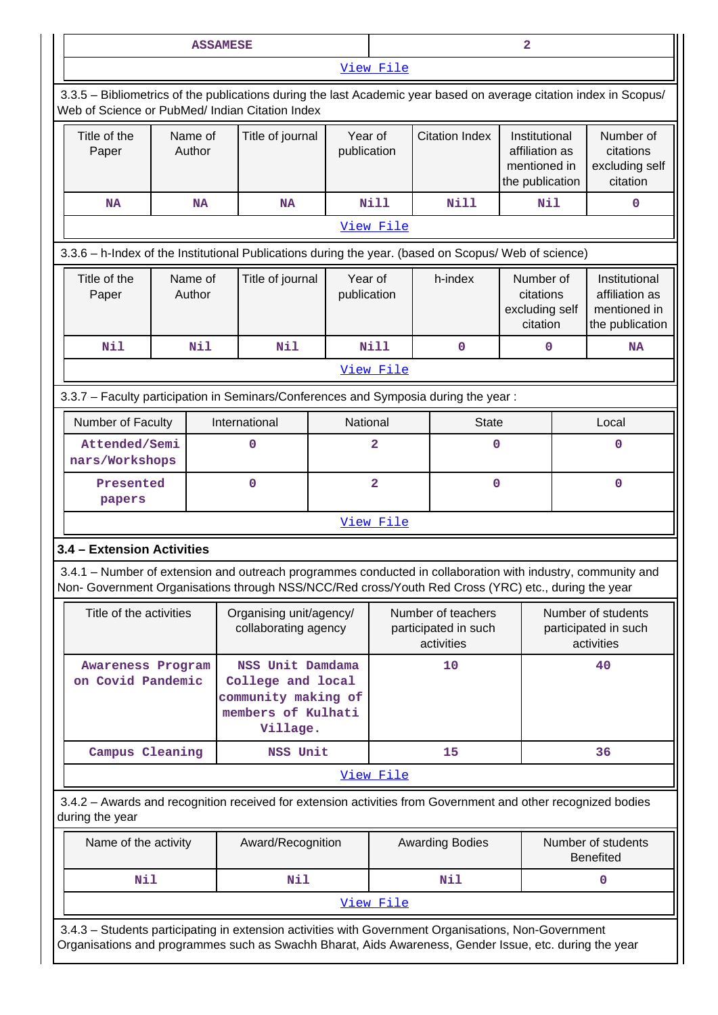|                                            |  |                   | <b>ASSAMESE</b>                                                                                                                                                                                                    |                                                 |                |                                                          | $\overline{\mathbf{2}}$                                            |                                                          |                                                                    |  |
|--------------------------------------------|--|-------------------|--------------------------------------------------------------------------------------------------------------------------------------------------------------------------------------------------------------------|-------------------------------------------------|----------------|----------------------------------------------------------|--------------------------------------------------------------------|----------------------------------------------------------|--------------------------------------------------------------------|--|
|                                            |  |                   |                                                                                                                                                                                                                    |                                                 | View File      |                                                          |                                                                    |                                                          |                                                                    |  |
|                                            |  |                   | 3.3.5 - Bibliometrics of the publications during the last Academic year based on average citation index in Scopus/<br>Web of Science or PubMed/ Indian Citation Index                                              |                                                 |                |                                                          |                                                                    |                                                          |                                                                    |  |
| Name of<br>Title of the<br>Author<br>Paper |  |                   | Title of journal                                                                                                                                                                                                   | Year of<br>publication                          |                | <b>Citation Index</b>                                    | Institutional<br>affiliation as<br>mentioned in<br>the publication |                                                          | Number of<br>citations<br>excluding self<br>citation               |  |
| <b>NA</b>                                  |  | <b>NA</b>         | <b>NA</b>                                                                                                                                                                                                          |                                                 | <b>Nill</b>    | <b>Nill</b>                                              | <b>Nil</b>                                                         |                                                          | $\mathbf 0$                                                        |  |
|                                            |  |                   |                                                                                                                                                                                                                    |                                                 | View File      |                                                          |                                                                    |                                                          |                                                                    |  |
|                                            |  |                   | 3.3.6 - h-Index of the Institutional Publications during the year. (based on Scopus/ Web of science)                                                                                                               |                                                 |                |                                                          |                                                                    |                                                          |                                                                    |  |
| Title of the<br>Paper                      |  | Name of<br>Author | Title of journal                                                                                                                                                                                                   | Year of<br>publication                          |                | h-index                                                  | Number of<br>citations<br>excluding self<br>citation               |                                                          | Institutional<br>affiliation as<br>mentioned in<br>the publication |  |
| Nil                                        |  | <b>Nil</b>        | Nil                                                                                                                                                                                                                |                                                 | <b>Nill</b>    | $\mathbf 0$                                              | 0                                                                  |                                                          | <b>NA</b>                                                          |  |
|                                            |  |                   |                                                                                                                                                                                                                    |                                                 | View File      |                                                          |                                                                    |                                                          |                                                                    |  |
|                                            |  |                   | 3.3.7 - Faculty participation in Seminars/Conferences and Symposia during the year:                                                                                                                                |                                                 |                |                                                          |                                                                    |                                                          |                                                                    |  |
| Number of Faculty                          |  |                   | International                                                                                                                                                                                                      | National                                        |                |                                                          | <b>State</b>                                                       |                                                          | Local                                                              |  |
| Attended/Semi<br>nars/Workshops            |  |                   | $\mathbf 0$                                                                                                                                                                                                        |                                                 | 2              | 0                                                        |                                                                    | 0                                                        |                                                                    |  |
| Presented<br>papers                        |  |                   | $\mathbf 0$                                                                                                                                                                                                        |                                                 | $\overline{2}$ |                                                          | $\mathbf 0$                                                        |                                                          | $\mathbf 0$                                                        |  |
|                                            |  |                   |                                                                                                                                                                                                                    |                                                 | View File      |                                                          |                                                                    |                                                          |                                                                    |  |
| 3.4 - Extension Activities                 |  |                   |                                                                                                                                                                                                                    |                                                 |                |                                                          |                                                                    |                                                          |                                                                    |  |
|                                            |  |                   | 3.4.1 - Number of extension and outreach programmes conducted in collaboration with industry, community and<br>Non- Government Organisations through NSS/NCC/Red cross/Youth Red Cross (YRC) etc., during the year |                                                 |                |                                                          |                                                                    |                                                          |                                                                    |  |
| Title of the activities                    |  |                   |                                                                                                                                                                                                                    | Organising unit/agency/<br>collaborating agency |                | Number of teachers<br>participated in such<br>activities |                                                                    | Number of students<br>participated in such<br>activities |                                                                    |  |
| Awareness Program<br>on Covid Pandemic     |  |                   | NSS Unit Damdama<br>College and local<br>community making of<br>members of Kulhati<br>Village.                                                                                                                     |                                                 |                | 10                                                       | 40                                                                 |                                                          |                                                                    |  |
| Campus Cleaning                            |  |                   | NSS Unit                                                                                                                                                                                                           |                                                 |                | 15                                                       |                                                                    |                                                          | 36                                                                 |  |
|                                            |  |                   |                                                                                                                                                                                                                    |                                                 | View File      |                                                          |                                                                    |                                                          |                                                                    |  |
| during the year                            |  |                   | 3.4.2 - Awards and recognition received for extension activities from Government and other recognized bodies                                                                                                       |                                                 |                |                                                          |                                                                    |                                                          |                                                                    |  |
| Name of the activity                       |  |                   | Award/Recognition                                                                                                                                                                                                  |                                                 |                | <b>Awarding Bodies</b>                                   |                                                                    |                                                          | Number of students<br><b>Benefited</b>                             |  |
| Nil                                        |  |                   | Nil                                                                                                                                                                                                                |                                                 |                | Nil                                                      |                                                                    |                                                          | 0                                                                  |  |
|                                            |  |                   |                                                                                                                                                                                                                    |                                                 | View File      |                                                          |                                                                    |                                                          |                                                                    |  |
|                                            |  |                   | 3.4.3 - Students participating in extension activities with Government Organisations, Non-Government                                                                                                               |                                                 |                |                                                          |                                                                    |                                                          |                                                                    |  |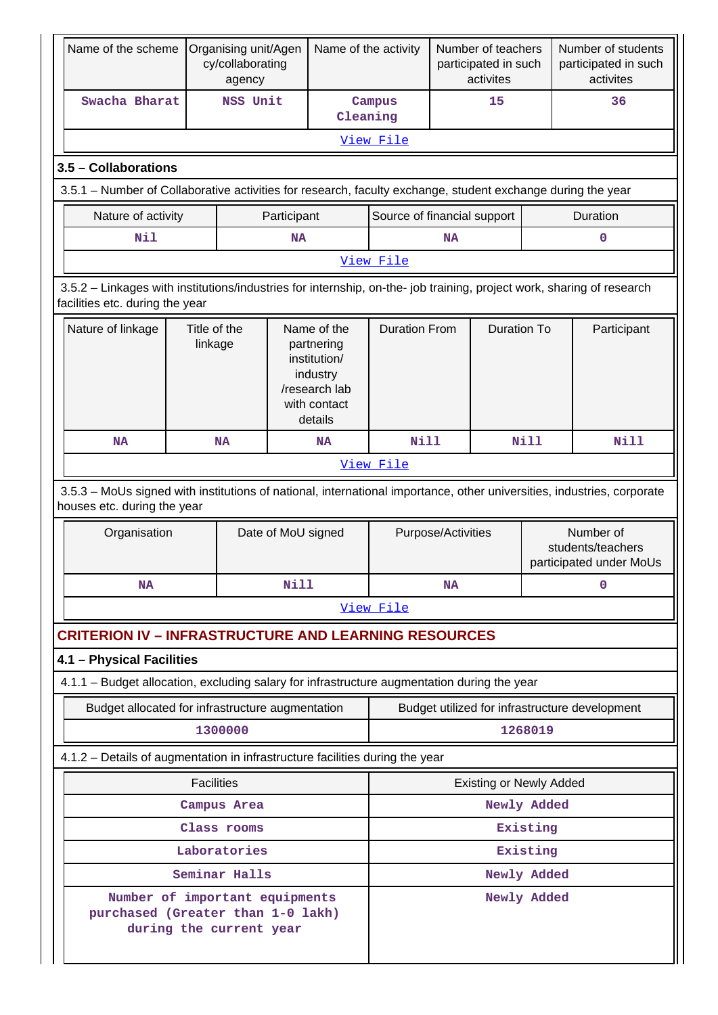| Name of the scheme                                                                                                                                       | Organising unit/Agen<br>cy/collaborating<br>agency                                                                                                    |                    | Name of the activity                                                                              |                             | Number of teachers<br>participated in such<br>activites   |                                |             | Number of students<br>participated in such<br>activites |  |
|----------------------------------------------------------------------------------------------------------------------------------------------------------|-------------------------------------------------------------------------------------------------------------------------------------------------------|--------------------|---------------------------------------------------------------------------------------------------|-----------------------------|-----------------------------------------------------------|--------------------------------|-------------|---------------------------------------------------------|--|
| Swacha Bharat                                                                                                                                            | NSS Unit                                                                                                                                              |                    | Cleaning                                                                                          | Campus                      |                                                           | 15                             |             | 36                                                      |  |
|                                                                                                                                                          |                                                                                                                                                       |                    |                                                                                                   | View File                   |                                                           |                                |             |                                                         |  |
| 3.5 - Collaborations                                                                                                                                     |                                                                                                                                                       |                    |                                                                                                   |                             |                                                           |                                |             |                                                         |  |
| 3.5.1 – Number of Collaborative activities for research, faculty exchange, student exchange during the year                                              |                                                                                                                                                       |                    |                                                                                                   |                             |                                                           |                                |             |                                                         |  |
| Nature of activity                                                                                                                                       |                                                                                                                                                       | Participant        |                                                                                                   | Source of financial support |                                                           |                                |             | Duration                                                |  |
| Nil                                                                                                                                                      |                                                                                                                                                       | <b>NA</b>          |                                                                                                   |                             | <b>NA</b>                                                 |                                |             | $\mathbf 0$                                             |  |
|                                                                                                                                                          | View File                                                                                                                                             |                    |                                                                                                   |                             |                                                           |                                |             |                                                         |  |
| 3.5.2 - Linkages with institutions/industries for internship, on-the- job training, project work, sharing of research<br>facilities etc. during the year |                                                                                                                                                       |                    |                                                                                                   |                             |                                                           |                                |             |                                                         |  |
| Nature of linkage                                                                                                                                        | Title of the<br>linkage                                                                                                                               |                    | Name of the<br>partnering<br>institution/<br>industry<br>/research lab<br>with contact<br>details | <b>Duration From</b>        |                                                           | <b>Duration To</b>             |             | Participant                                             |  |
| <b>NA</b>                                                                                                                                                | <b>Nill</b><br><b>NA</b><br><b>NA</b>                                                                                                                 |                    | <b>Nill</b>                                                                                       | Nill                        |                                                           |                                |             |                                                         |  |
|                                                                                                                                                          |                                                                                                                                                       | View File          |                                                                                                   |                             |                                                           |                                |             |                                                         |  |
|                                                                                                                                                          | 3.5.3 - MoUs signed with institutions of national, international importance, other universities, industries, corporate<br>houses etc. during the year |                    |                                                                                                   |                             |                                                           |                                |             |                                                         |  |
| Organisation                                                                                                                                             |                                                                                                                                                       | Date of MoU signed | Purpose/Activities                                                                                |                             | Number of<br>students/teachers<br>participated under MoUs |                                |             |                                                         |  |
| <b>NA</b>                                                                                                                                                |                                                                                                                                                       | <b>Nill</b>        |                                                                                                   | <b>NA</b>                   |                                                           | 0                              |             |                                                         |  |
|                                                                                                                                                          |                                                                                                                                                       |                    |                                                                                                   | View File                   |                                                           |                                |             |                                                         |  |
| <b>CRITERION IV - INFRASTRUCTURE AND LEARNING RESOURCES</b>                                                                                              |                                                                                                                                                       |                    |                                                                                                   |                             |                                                           |                                |             |                                                         |  |
| 4.1 - Physical Facilities                                                                                                                                |                                                                                                                                                       |                    |                                                                                                   |                             |                                                           |                                |             |                                                         |  |
| 4.1.1 - Budget allocation, excluding salary for infrastructure augmentation during the year                                                              |                                                                                                                                                       |                    |                                                                                                   |                             |                                                           |                                |             |                                                         |  |
| Budget allocated for infrastructure augmentation                                                                                                         |                                                                                                                                                       |                    |                                                                                                   |                             |                                                           |                                |             | Budget utilized for infrastructure development          |  |
|                                                                                                                                                          | 1300000                                                                                                                                               |                    |                                                                                                   |                             |                                                           |                                | 1268019     |                                                         |  |
| 4.1.2 - Details of augmentation in infrastructure facilities during the year                                                                             |                                                                                                                                                       |                    |                                                                                                   |                             |                                                           |                                |             |                                                         |  |
|                                                                                                                                                          | <b>Facilities</b>                                                                                                                                     |                    |                                                                                                   |                             |                                                           | <b>Existing or Newly Added</b> |             |                                                         |  |
| Campus Area                                                                                                                                              |                                                                                                                                                       |                    |                                                                                                   |                             |                                                           |                                | Newly Added |                                                         |  |
| Class rooms                                                                                                                                              |                                                                                                                                                       |                    |                                                                                                   |                             |                                                           |                                | Existing    |                                                         |  |
|                                                                                                                                                          | Laboratories<br>Seminar Halls                                                                                                                         |                    |                                                                                                   |                             |                                                           |                                | Existing    |                                                         |  |
| Number of important equipments                                                                                                                           |                                                                                                                                                       |                    |                                                                                                   | Newly Added<br>Newly Added  |                                                           |                                |             |                                                         |  |
| purchased (Greater than 1-0 lakh)                                                                                                                        | during the current year                                                                                                                               |                    |                                                                                                   |                             |                                                           |                                |             |                                                         |  |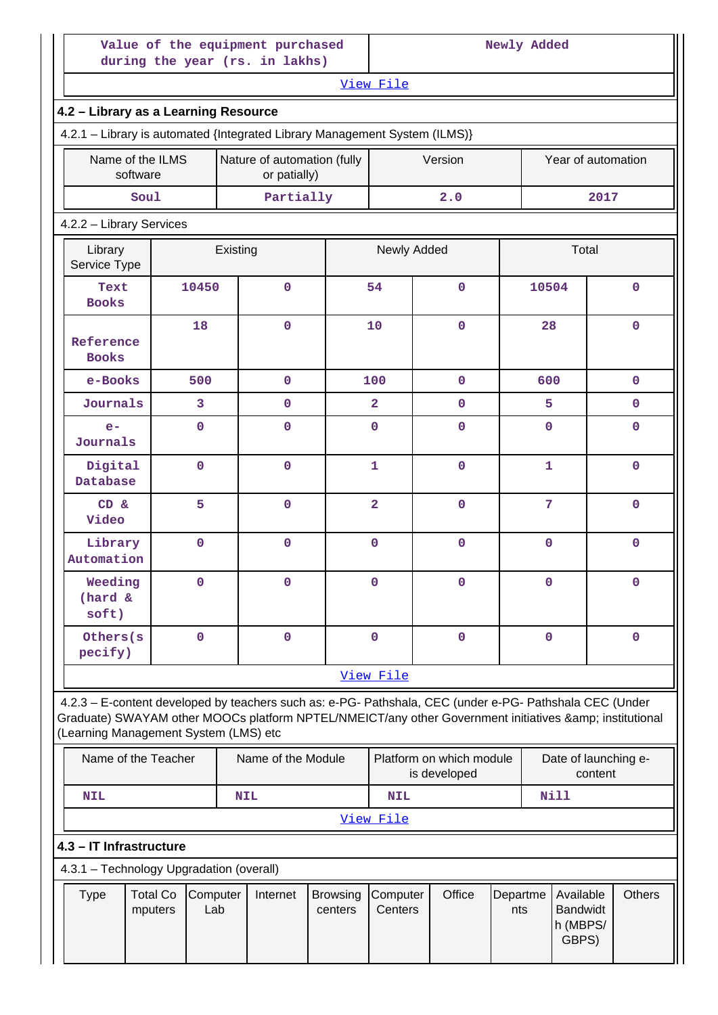|                                       |                                                                            | Value of the equipment purchased<br>during the year (rs. in lakhs)                                                                                                                                             |  | Newly Added    |                                          |                    |                                 |  |  |  |
|---------------------------------------|----------------------------------------------------------------------------|----------------------------------------------------------------------------------------------------------------------------------------------------------------------------------------------------------------|--|----------------|------------------------------------------|--------------------|---------------------------------|--|--|--|
|                                       |                                                                            |                                                                                                                                                                                                                |  | View File      |                                          |                    |                                 |  |  |  |
| 4.2 - Library as a Learning Resource  |                                                                            |                                                                                                                                                                                                                |  |                |                                          |                    |                                 |  |  |  |
|                                       | 4.2.1 - Library is automated {Integrated Library Management System (ILMS)} |                                                                                                                                                                                                                |  |                |                                          |                    |                                 |  |  |  |
| Name of the ILMS<br>software          | Nature of automation (fully<br>or patially)                                |                                                                                                                                                                                                                |  | Version        |                                          | Year of automation |                                 |  |  |  |
| Soul                                  |                                                                            | Partially                                                                                                                                                                                                      |  |                | 2.0                                      |                    | 2017                            |  |  |  |
| 4.2.2 - Library Services              |                                                                            |                                                                                                                                                                                                                |  |                |                                          |                    |                                 |  |  |  |
| Library<br>Service Type               |                                                                            | Existing                                                                                                                                                                                                       |  |                | Newly Added                              |                    | Total                           |  |  |  |
| Text<br><b>Books</b>                  | 10450                                                                      | $\mathbf 0$                                                                                                                                                                                                    |  | 54             | $\Omega$                                 | 10504              | $\mathbf 0$                     |  |  |  |
| Reference<br><b>Books</b>             | 18                                                                         | $\mathbf{O}$                                                                                                                                                                                                   |  | 10             | $\mathbf 0$                              | 28                 | $\mathbf{0}$                    |  |  |  |
| e-Books                               | 500                                                                        | $\mathbf{0}$                                                                                                                                                                                                   |  | 100            | $\mathbf{0}$                             | 600                | $\mathbf{0}$                    |  |  |  |
| Journals                              | 3                                                                          | 0                                                                                                                                                                                                              |  | $\overline{a}$ | $\mathbf{0}$                             | 5                  | $\mathbf{0}$                    |  |  |  |
| $e-$<br>Journals                      | $\mathbf 0$                                                                | $\mathbf{O}$                                                                                                                                                                                                   |  | $\mathbf 0$    | $\mathbf 0$                              | $\mathbf{0}$       | $\mathbf{0}$                    |  |  |  |
| Digital<br>Database                   | $\mathbf 0$                                                                | $\mathbf 0$                                                                                                                                                                                                    |  | $\mathbf{1}$   | $\Omega$                                 | $\mathbf{1}$       | $\mathbf{0}$                    |  |  |  |
| $CD \&$<br>Video                      | 5                                                                          | $\mathbf 0$                                                                                                                                                                                                    |  | $\overline{2}$ | $\Omega$                                 | 7                  | $\mathbf 0$                     |  |  |  |
| Library<br>Automation                 | $\mathbf 0$                                                                | 0                                                                                                                                                                                                              |  | 0              | $\mathbf 0$                              | 0                  | $\mathbf 0$                     |  |  |  |
| Weeding<br>(hard &<br>soft)           | $\mathbf 0$                                                                | 0                                                                                                                                                                                                              |  | $\mathbf 0$    | $\mathbf 0$                              | 0                  | $\mathbf{0}$                    |  |  |  |
| Others (s)<br>pecify)                 | $\mathbf 0$                                                                | $\mathbf 0$                                                                                                                                                                                                    |  | $\mathbf 0$    | $\mathbf 0$                              | $\mathbf 0$        | $\mathbf{0}$                    |  |  |  |
|                                       |                                                                            |                                                                                                                                                                                                                |  | View File      |                                          |                    |                                 |  |  |  |
| (Learning Management System (LMS) etc |                                                                            | 4.2.3 - E-content developed by teachers such as: e-PG- Pathshala, CEC (under e-PG- Pathshala CEC (Under<br>Graduate) SWAYAM other MOOCs platform NPTEL/NMEICT/any other Government initiatives & institutional |  |                |                                          |                    |                                 |  |  |  |
| Name of the Teacher                   |                                                                            | Name of the Module                                                                                                                                                                                             |  |                | Platform on which module<br>is developed |                    | Date of launching e-<br>content |  |  |  |
| <b>NIL</b><br><b>NIL</b>              |                                                                            |                                                                                                                                                                                                                |  |                | <b>NIL</b>                               | Nill               |                                 |  |  |  |

[View File](https://assessmentonline.naac.gov.in/public/Postacc/e-content_by_teachers/13235_e-content_by_teachers_1630233160.xlsx)

## **4.3 – IT Infrastructure**

4.3.1 – Technology Upgradation (overall)

| Total Co Computer<br>Browsing Computer<br>Type<br>Internet<br>Centers<br>∟ab<br>centers<br>mputers | Office | Departme Available<br>nts | <b>Bandwidt</b><br>h (MBPS/<br>GBPS) | <b>Others</b> |
|----------------------------------------------------------------------------------------------------|--------|---------------------------|--------------------------------------|---------------|
|                                                                                                    |        |                           |                                      |               |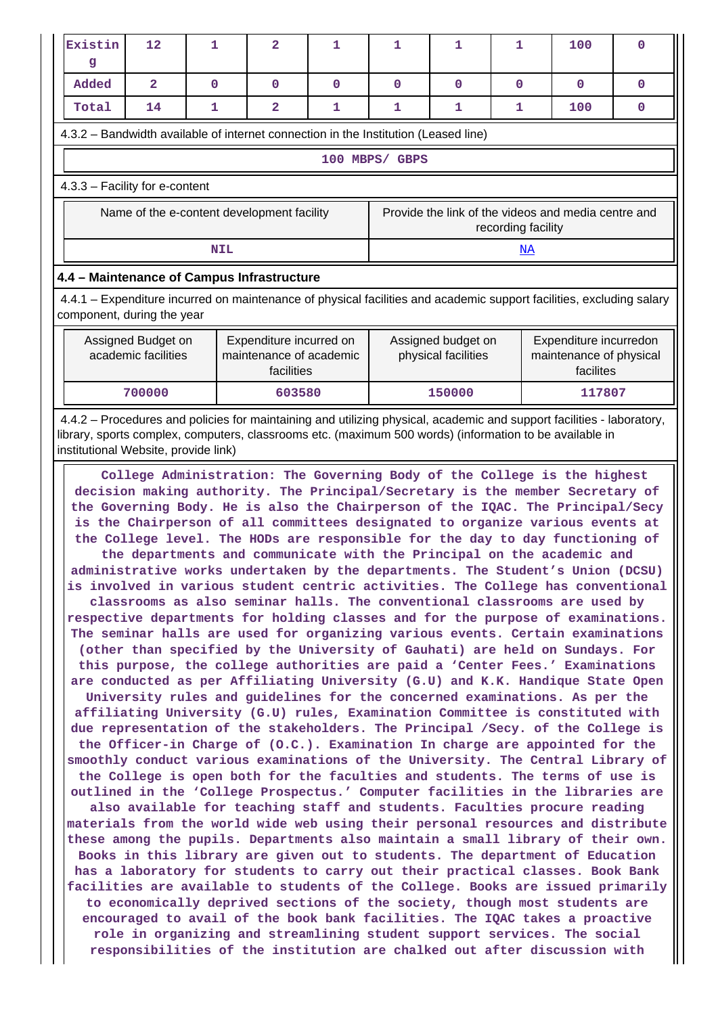| Existin<br>g                                                                                                                                                                                                                                                                                                                                                                                                                                                                                                                                                                                                                                                                                                                                                                                                                                                                                                                                                                                                                                                                                                                                                                                                                                                                                                                                                                                                                                                                                                                                                                                                                                                                                                                                                                                                                                                                                                                                                                                                                                                                                                                                                                                                                                                                                                                                                                                                                                                                                                                                                                        | 12                                         | 1            | $\overline{\mathbf{2}}$ | 1            | $\mathbf 1$                                                               | 1            | $\mathbf{1}$ | 100          | $\mathbf 0$ |  |  |
|-------------------------------------------------------------------------------------------------------------------------------------------------------------------------------------------------------------------------------------------------------------------------------------------------------------------------------------------------------------------------------------------------------------------------------------------------------------------------------------------------------------------------------------------------------------------------------------------------------------------------------------------------------------------------------------------------------------------------------------------------------------------------------------------------------------------------------------------------------------------------------------------------------------------------------------------------------------------------------------------------------------------------------------------------------------------------------------------------------------------------------------------------------------------------------------------------------------------------------------------------------------------------------------------------------------------------------------------------------------------------------------------------------------------------------------------------------------------------------------------------------------------------------------------------------------------------------------------------------------------------------------------------------------------------------------------------------------------------------------------------------------------------------------------------------------------------------------------------------------------------------------------------------------------------------------------------------------------------------------------------------------------------------------------------------------------------------------------------------------------------------------------------------------------------------------------------------------------------------------------------------------------------------------------------------------------------------------------------------------------------------------------------------------------------------------------------------------------------------------------------------------------------------------------------------------------------------------|--------------------------------------------|--------------|-------------------------|--------------|---------------------------------------------------------------------------|--------------|--------------|--------------|-------------|--|--|
| Added                                                                                                                                                                                                                                                                                                                                                                                                                                                                                                                                                                                                                                                                                                                                                                                                                                                                                                                                                                                                                                                                                                                                                                                                                                                                                                                                                                                                                                                                                                                                                                                                                                                                                                                                                                                                                                                                                                                                                                                                                                                                                                                                                                                                                                                                                                                                                                                                                                                                                                                                                                               | $\mathbf{2}$                               | $\mathbf{O}$ | $\mathbf 0$             | $\mathbf{0}$ | $\mathbf 0$                                                               | $\mathbf{0}$ | $\mathbf{0}$ | $\mathbf{O}$ | $\mathbf 0$ |  |  |
| Total                                                                                                                                                                                                                                                                                                                                                                                                                                                                                                                                                                                                                                                                                                                                                                                                                                                                                                                                                                                                                                                                                                                                                                                                                                                                                                                                                                                                                                                                                                                                                                                                                                                                                                                                                                                                                                                                                                                                                                                                                                                                                                                                                                                                                                                                                                                                                                                                                                                                                                                                                                               | 14                                         | 1            | $\overline{\mathbf{2}}$ | 1            | $\mathbf 1$                                                               | 1            | 1            | 100          | 0           |  |  |
| 4.3.2 – Bandwidth available of internet connection in the Institution (Leased line)                                                                                                                                                                                                                                                                                                                                                                                                                                                                                                                                                                                                                                                                                                                                                                                                                                                                                                                                                                                                                                                                                                                                                                                                                                                                                                                                                                                                                                                                                                                                                                                                                                                                                                                                                                                                                                                                                                                                                                                                                                                                                                                                                                                                                                                                                                                                                                                                                                                                                                 |                                            |              |                         |              |                                                                           |              |              |              |             |  |  |
| 100 MBPS/ GBPS                                                                                                                                                                                                                                                                                                                                                                                                                                                                                                                                                                                                                                                                                                                                                                                                                                                                                                                                                                                                                                                                                                                                                                                                                                                                                                                                                                                                                                                                                                                                                                                                                                                                                                                                                                                                                                                                                                                                                                                                                                                                                                                                                                                                                                                                                                                                                                                                                                                                                                                                                                      |                                            |              |                         |              |                                                                           |              |              |              |             |  |  |
| 4.3.3 - Facility for e-content                                                                                                                                                                                                                                                                                                                                                                                                                                                                                                                                                                                                                                                                                                                                                                                                                                                                                                                                                                                                                                                                                                                                                                                                                                                                                                                                                                                                                                                                                                                                                                                                                                                                                                                                                                                                                                                                                                                                                                                                                                                                                                                                                                                                                                                                                                                                                                                                                                                                                                                                                      |                                            |              |                         |              |                                                                           |              |              |              |             |  |  |
|                                                                                                                                                                                                                                                                                                                                                                                                                                                                                                                                                                                                                                                                                                                                                                                                                                                                                                                                                                                                                                                                                                                                                                                                                                                                                                                                                                                                                                                                                                                                                                                                                                                                                                                                                                                                                                                                                                                                                                                                                                                                                                                                                                                                                                                                                                                                                                                                                                                                                                                                                                                     | Name of the e-content development facility |              |                         |              | Provide the link of the videos and media centre and<br>recording facility |              |              |              |             |  |  |
|                                                                                                                                                                                                                                                                                                                                                                                                                                                                                                                                                                                                                                                                                                                                                                                                                                                                                                                                                                                                                                                                                                                                                                                                                                                                                                                                                                                                                                                                                                                                                                                                                                                                                                                                                                                                                                                                                                                                                                                                                                                                                                                                                                                                                                                                                                                                                                                                                                                                                                                                                                                     |                                            | <b>NIL</b>   |                         |              |                                                                           |              | NA           |              |             |  |  |
| 4.4 - Maintenance of Campus Infrastructure                                                                                                                                                                                                                                                                                                                                                                                                                                                                                                                                                                                                                                                                                                                                                                                                                                                                                                                                                                                                                                                                                                                                                                                                                                                                                                                                                                                                                                                                                                                                                                                                                                                                                                                                                                                                                                                                                                                                                                                                                                                                                                                                                                                                                                                                                                                                                                                                                                                                                                                                          |                                            |              |                         |              |                                                                           |              |              |              |             |  |  |
| 4.4.1 - Expenditure incurred on maintenance of physical facilities and academic support facilities, excluding salary<br>component, during the year                                                                                                                                                                                                                                                                                                                                                                                                                                                                                                                                                                                                                                                                                                                                                                                                                                                                                                                                                                                                                                                                                                                                                                                                                                                                                                                                                                                                                                                                                                                                                                                                                                                                                                                                                                                                                                                                                                                                                                                                                                                                                                                                                                                                                                                                                                                                                                                                                                  |                                            |              |                         |              |                                                                           |              |              |              |             |  |  |
| Assigned Budget on<br>Expenditure incurred on<br>Assigned budget on<br>Expenditure incurredon<br>academic facilities<br>maintenance of academic<br>physical facilities<br>maintenance of physical<br>facilities<br>facilites                                                                                                                                                                                                                                                                                                                                                                                                                                                                                                                                                                                                                                                                                                                                                                                                                                                                                                                                                                                                                                                                                                                                                                                                                                                                                                                                                                                                                                                                                                                                                                                                                                                                                                                                                                                                                                                                                                                                                                                                                                                                                                                                                                                                                                                                                                                                                        |                                            |              |                         |              |                                                                           |              |              |              |             |  |  |
|                                                                                                                                                                                                                                                                                                                                                                                                                                                                                                                                                                                                                                                                                                                                                                                                                                                                                                                                                                                                                                                                                                                                                                                                                                                                                                                                                                                                                                                                                                                                                                                                                                                                                                                                                                                                                                                                                                                                                                                                                                                                                                                                                                                                                                                                                                                                                                                                                                                                                                                                                                                     | 700000                                     |              | 603580                  |              |                                                                           | 150000       |              | 117807       |             |  |  |
| 4.4.2 – Procedures and policies for maintaining and utilizing physical, academic and support facilities - laboratory,<br>library, sports complex, computers, classrooms etc. (maximum 500 words) (information to be available in<br>institutional Website, provide link)                                                                                                                                                                                                                                                                                                                                                                                                                                                                                                                                                                                                                                                                                                                                                                                                                                                                                                                                                                                                                                                                                                                                                                                                                                                                                                                                                                                                                                                                                                                                                                                                                                                                                                                                                                                                                                                                                                                                                                                                                                                                                                                                                                                                                                                                                                            |                                            |              |                         |              |                                                                           |              |              |              |             |  |  |
| College Administration: The Governing Body of the College is the highest<br>decision making authority. The Principal/Secretary is the member Secretary of<br>the Governing Body. He is also the Chairperson of the IQAC. The Principal/Secy<br>is the Chairperson of all committees designated to organize various events at<br>the College level. The HODs are responsible for the day to day functioning of<br>the departments and communicate with the Principal on the academic and<br>administrative works undertaken by the departments. The Student's Union (DCSU)<br>is involved in various student centric activities. The College has conventional<br>classrooms as also seminar halls. The conventional classrooms are used by<br>respective departments for holding classes and for the purpose of examinations.<br>The seminar halls are used for organizing various events. Certain examinations<br>(other than specified by the University of Gauhati) are held on Sundays. For<br>this purpose, the college authorities are paid a 'Center Fees.' Examinations<br>are conducted as per Affiliating University (G.U) and K.K. Handique State Open<br>University rules and guidelines for the concerned examinations. As per the<br>affiliating University (G.U) rules, Examination Committee is constituted with<br>due representation of the stakeholders. The Principal /Secy. of the College is<br>the Officer-in Charge of (O.C.). Examination In charge are appointed for the<br>smoothly conduct various examinations of the University. The Central Library of<br>the College is open both for the faculties and students. The terms of use is<br>outlined in the 'College Prospectus.' Computer facilities in the libraries are<br>also available for teaching staff and students. Faculties procure reading<br>materials from the world wide web using their personal resources and distribute<br>these among the pupils. Departments also maintain a small library of their own.<br>Books in this library are given out to students. The department of Education<br>has a laboratory for students to carry out their practical classes. Book Bank<br>facilities are available to students of the College. Books are issued primarily<br>to economically deprived sections of the society, though most students are<br>encouraged to avail of the book bank facilities. The IQAC takes a proactive<br>role in organizing and streamlining student support services. The social<br>responsibilities of the institution are chalked out after discussion with |                                            |              |                         |              |                                                                           |              |              |              |             |  |  |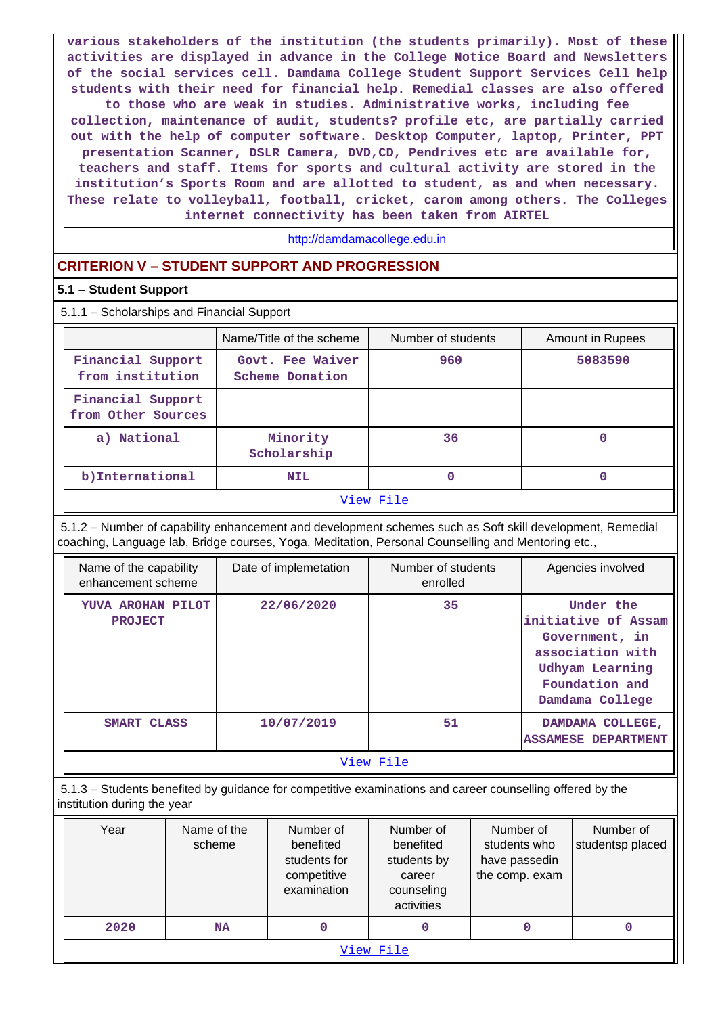**various stakeholders of the institution (the students primarily). Most of these activities are displayed in advance in the College Notice Board and Newsletters of the social services cell. Damdama College Student Support Services Cell help students with their need for financial help. Remedial classes are also offered to those who are weak in studies. Administrative works, including fee collection, maintenance of audit, students? profile etc, are partially carried out with the help of computer software. Desktop Computer, laptop, Printer, PPT presentation Scanner, DSLR Camera, DVD,CD, Pendrives etc are available for, teachers and staff. Items for sports and cultural activity are stored in the institution's Sports Room and are allotted to student, as and when necessary. These relate to volleyball, football, cricket, carom among others. The Colleges internet connectivity has been taken from AIRTEL**

<http://damdamacollege.edu.in>

### **CRITERION V – STUDENT SUPPORT AND PROGRESSION**

#### **5.1 – Student Support**

|                                          | 5.1.1 - Scholarships and Financial Support |                    |                  |  |  |  |  |  |  |
|------------------------------------------|--------------------------------------------|--------------------|------------------|--|--|--|--|--|--|
|                                          | Name/Title of the scheme                   | Number of students | Amount in Rupees |  |  |  |  |  |  |
| Financial Support<br>from institution    | Govt. Fee Waiver<br>Scheme Donation        | 960                | 5083590          |  |  |  |  |  |  |
| Financial Support<br>from Other Sources  |                                            |                    |                  |  |  |  |  |  |  |
| a) National                              | Minority<br>Scholarship                    | 36                 | 0                |  |  |  |  |  |  |
| b) International<br>0<br>0<br><b>NIL</b> |                                            |                    |                  |  |  |  |  |  |  |
| View File                                |                                            |                    |                  |  |  |  |  |  |  |

 5.1.2 – Number of capability enhancement and development schemes such as Soft skill development, Remedial coaching, Language lab, Bridge courses, Yoga, Meditation, Personal Counselling and Mentoring etc.,

| Name of the capability<br>enhancement scheme | Date of implemetation | Number of students<br>enrolled | Agencies involved                                                                                                              |  |  |  |  |
|----------------------------------------------|-----------------------|--------------------------------|--------------------------------------------------------------------------------------------------------------------------------|--|--|--|--|
| YUVA AROHAN PILOT<br><b>PROJECT</b>          | 22/06/2020            | 35                             | Under the<br>initiative of Assam<br>Government, in<br>association with<br>Udhyam Learning<br>Foundation and<br>Damdama College |  |  |  |  |
| SMART CLASS                                  | 10/07/2019            | 51                             | DAMDAMA COLLEGE,<br><b>ASSAMESE DEPARTMENT</b>                                                                                 |  |  |  |  |
| View File                                    |                       |                                |                                                                                                                                |  |  |  |  |

 5.1.3 – Students benefited by guidance for competitive examinations and career counselling offered by the institution during the year

| Year      | Name of the<br>scheme | Number of<br>benefited<br>students for<br>competitive<br>examination | Number of<br>benefited<br>students by<br>career<br>counseling<br>activities | Number of<br>students who<br>have passedin<br>the comp. exam | Number of<br>studentsp placed |  |  |  |  |
|-----------|-----------------------|----------------------------------------------------------------------|-----------------------------------------------------------------------------|--------------------------------------------------------------|-------------------------------|--|--|--|--|
| 2020      | NA                    | 0                                                                    | 0                                                                           |                                                              |                               |  |  |  |  |
| View File |                       |                                                                      |                                                                             |                                                              |                               |  |  |  |  |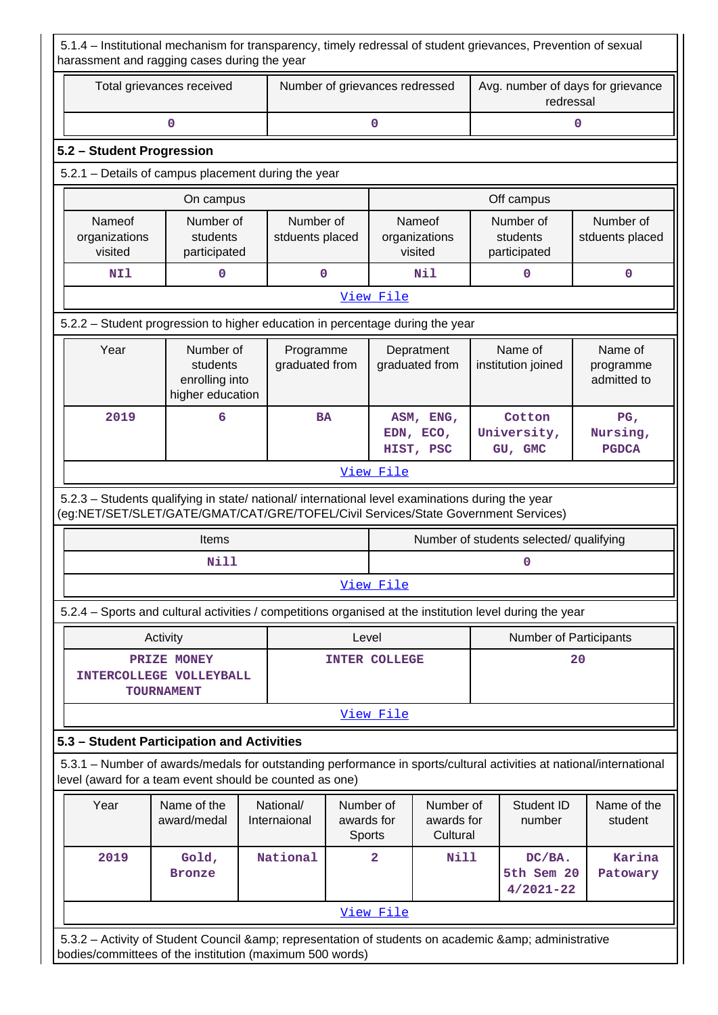5.1.4 – Institutional mechanism for transparency, timely redressal of student grievances, Prevention of sexual harassment and ragging cases during the year

| Total grievances received                                                                                                                                                              |                                                             | Number of grievances redressed |                      |                                                  | Avg. number of days for grievance<br>redressal |                                       |                                                                       |                                             |  |
|----------------------------------------------------------------------------------------------------------------------------------------------------------------------------------------|-------------------------------------------------------------|--------------------------------|----------------------|--------------------------------------------------|------------------------------------------------|---------------------------------------|-----------------------------------------------------------------------|---------------------------------------------|--|
|                                                                                                                                                                                        | 0                                                           |                                | 0                    |                                                  |                                                | 0                                     |                                                                       |                                             |  |
| 5.2 - Student Progression                                                                                                                                                              |                                                             |                                |                      |                                                  |                                                |                                       |                                                                       |                                             |  |
| 5.2.1 - Details of campus placement during the year                                                                                                                                    |                                                             |                                |                      |                                                  |                                                |                                       |                                                                       |                                             |  |
|                                                                                                                                                                                        | On campus                                                   |                                |                      |                                                  |                                                |                                       | Off campus                                                            |                                             |  |
| Nameof<br>organizations<br>visited                                                                                                                                                     | Number of<br>students<br>participated                       | Number of<br>stduents placed   |                      | visited                                          | Nameof<br>organizations                        |                                       | Number of<br>Number of<br>students<br>stduents placed<br>participated |                                             |  |
| NI1                                                                                                                                                                                    | 0                                                           |                                | $\mathbf 0$          |                                                  | Nil                                            |                                       | 0                                                                     | $\mathbf 0$                                 |  |
|                                                                                                                                                                                        |                                                             |                                |                      | View File                                        |                                                |                                       |                                                                       |                                             |  |
| 5.2.2 - Student progression to higher education in percentage during the year                                                                                                          |                                                             |                                |                      |                                                  |                                                |                                       |                                                                       |                                             |  |
| Year                                                                                                                                                                                   | Number of<br>students<br>enrolling into<br>higher education | Programme<br>graduated from    |                      |                                                  | Depratment<br>graduated from                   |                                       | Name of<br>institution joined                                         | Name of<br>programme<br>admitted to         |  |
| 2019                                                                                                                                                                                   | 6                                                           |                                |                      | <b>BA</b><br>ASM, ENG,<br>EDN, ECO,<br>HIST, PSC |                                                |                                       | Cotton<br>University,<br>GU, GMC                                      | PG <sub>1</sub><br>Nursing,<br><b>PGDCA</b> |  |
|                                                                                                                                                                                        |                                                             |                                |                      | View File                                        |                                                |                                       |                                                                       |                                             |  |
| 5.2.3 - Students qualifying in state/ national/ international level examinations during the year<br>(eg:NET/SET/SLET/GATE/GMAT/CAT/GRE/TOFEL/Civil Services/State Government Services) |                                                             |                                |                      |                                                  |                                                |                                       |                                                                       |                                             |  |
|                                                                                                                                                                                        | Items                                                       |                                |                      |                                                  |                                                |                                       | Number of students selected/ qualifying                               |                                             |  |
|                                                                                                                                                                                        | Nill                                                        |                                |                      |                                                  |                                                |                                       | 0                                                                     |                                             |  |
|                                                                                                                                                                                        |                                                             |                                |                      | View File                                        |                                                |                                       |                                                                       |                                             |  |
| 5.2.4 - Sports and cultural activities / competitions organised at the institution level during the year                                                                               |                                                             |                                |                      |                                                  |                                                |                                       |                                                                       |                                             |  |
|                                                                                                                                                                                        | Activity                                                    |                                | Level                |                                                  |                                                |                                       | Number of Participants                                                |                                             |  |
| INTERCOLLEGE VOLLEYBALL                                                                                                                                                                | PRIZE MONEY<br><b>TOURNAMENT</b>                            |                                | <b>INTER COLLEGE</b> |                                                  |                                                |                                       |                                                                       | 20                                          |  |
|                                                                                                                                                                                        |                                                             |                                |                      | View File                                        |                                                |                                       |                                                                       |                                             |  |
| 5.3 - Student Participation and Activities                                                                                                                                             |                                                             |                                |                      |                                                  |                                                |                                       |                                                                       |                                             |  |
| 5.3.1 – Number of awards/medals for outstanding performance in sports/cultural activities at national/international<br>level (award for a team event should be counted as one)         |                                                             |                                |                      |                                                  |                                                |                                       |                                                                       |                                             |  |
| Year                                                                                                                                                                                   | Name of the<br>National/<br>award/medal<br>Internaional     |                                |                      | Number of<br>awards for<br>Sports                | Number of<br>awards for<br>Cultural            |                                       | Student ID<br>number                                                  | Name of the<br>student                      |  |
| 2019                                                                                                                                                                                   | Gold,<br><b>Bronze</b>                                      | National                       |                      | $\overline{a}$<br>Nill                           |                                                | DC/BA.<br>5th Sem 20<br>$4/2021 - 22$ |                                                                       | Karina<br>Patowary                          |  |
|                                                                                                                                                                                        |                                                             |                                |                      | View File                                        |                                                |                                       |                                                                       |                                             |  |
| 532 Activity of Student Council Ramp: representation of students on academic Ramp: administrative                                                                                      |                                                             |                                |                      |                                                  |                                                |                                       |                                                                       |                                             |  |

5.3.2 – Activity of Student Council & amp; representation of students on academic & amp; administrative bodies/committees of the institution (maximum 500 words)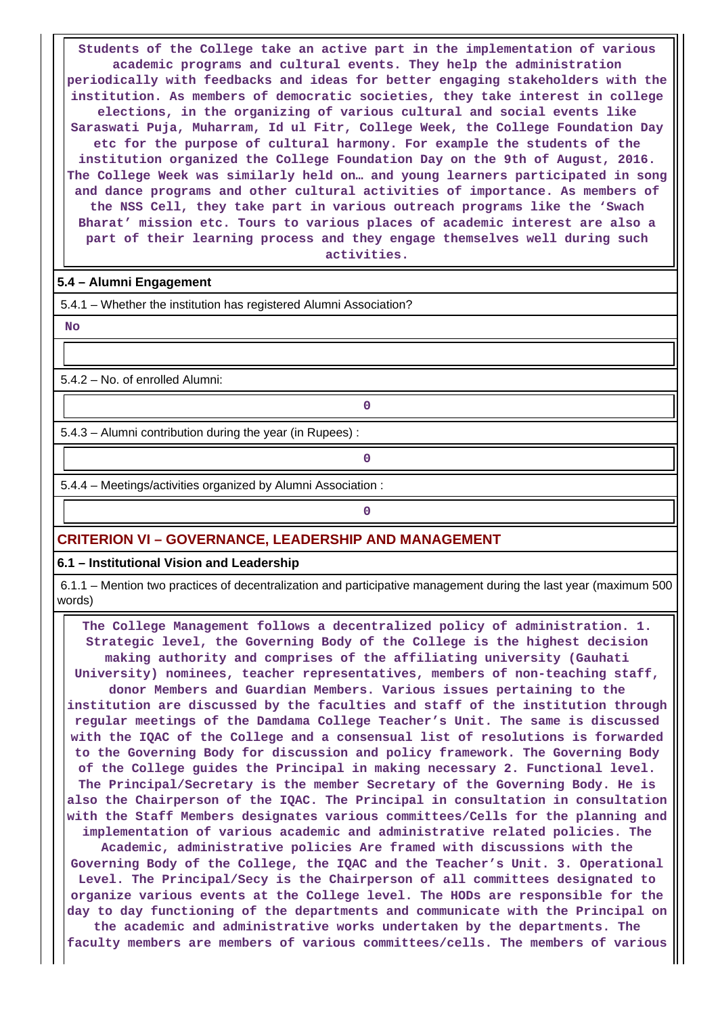**Students of the College take an active part in the implementation of various academic programs and cultural events. They help the administration periodically with feedbacks and ideas for better engaging stakeholders with the institution. As members of democratic societies, they take interest in college elections, in the organizing of various cultural and social events like Saraswati Puja, Muharram, Id ul Fitr, College Week, the College Foundation Day etc for the purpose of cultural harmony. For example the students of the institution organized the College Foundation Day on the 9th of August, 2016. The College Week was similarly held on… and young learners participated in song and dance programs and other cultural activities of importance. As members of the NSS Cell, they take part in various outreach programs like the 'Swach Bharat' mission etc. Tours to various places of academic interest are also a part of their learning process and they engage themselves well during such activities.**

#### **5.4 – Alumni Engagement**

5.4.1 – Whether the institution has registered Alumni Association?

 **No**

5.4.2 – No. of enrolled Alumni:

5.4.3 – Alumni contribution during the year (in Rupees) :

**0**

**0**

5.4.4 – Meetings/activities organized by Alumni Association :

## **0**

#### **CRITERION VI – GOVERNANCE, LEADERSHIP AND MANAGEMENT**

**6.1 – Institutional Vision and Leadership**

 6.1.1 – Mention two practices of decentralization and participative management during the last year (maximum 500 words)

 **The College Management follows a decentralized policy of administration. 1. Strategic level, the Governing Body of the College is the highest decision making authority and comprises of the affiliating university (Gauhati University) nominees, teacher representatives, members of non-teaching staff, donor Members and Guardian Members. Various issues pertaining to the institution are discussed by the faculties and staff of the institution through regular meetings of the Damdama College Teacher's Unit. The same is discussed with the IQAC of the College and a consensual list of resolutions is forwarded to the Governing Body for discussion and policy framework. The Governing Body of the College guides the Principal in making necessary 2. Functional level. The Principal/Secretary is the member Secretary of the Governing Body. He is also the Chairperson of the IQAC. The Principal in consultation in consultation with the Staff Members designates various committees/Cells for the planning and implementation of various academic and administrative related policies. The Academic, administrative policies Are framed with discussions with the Governing Body of the College, the IQAC and the Teacher's Unit. 3. Operational Level. The Principal/Secy is the Chairperson of all committees designated to organize various events at the College level. The HODs are responsible for the day to day functioning of the departments and communicate with the Principal on**

**the academic and administrative works undertaken by the departments. The faculty members are members of various committees/cells. The members of various**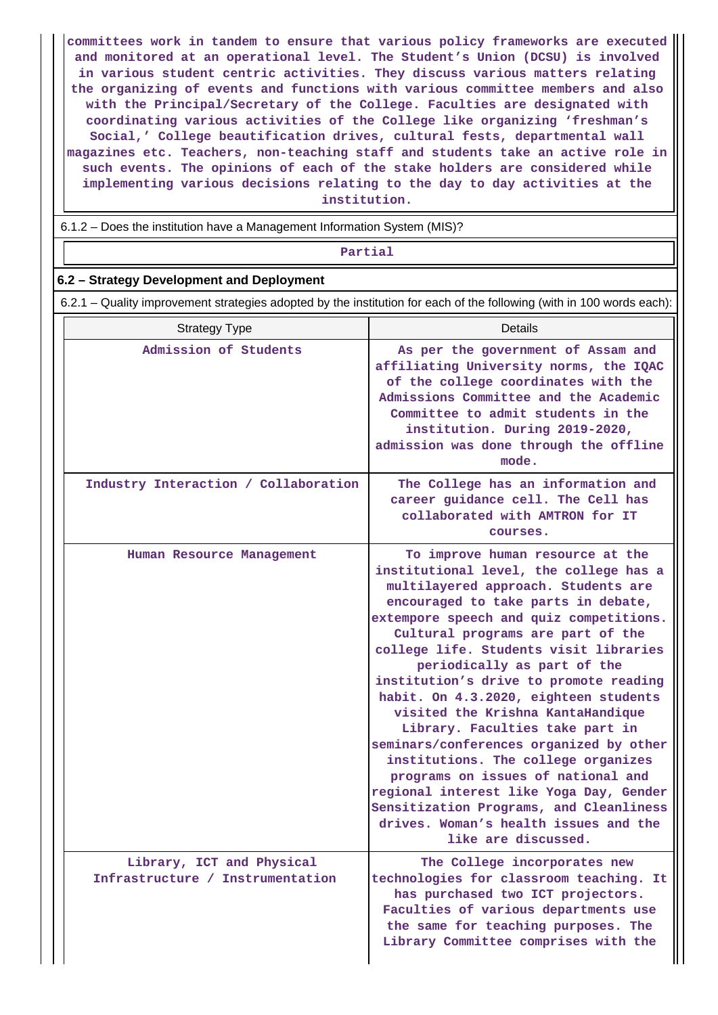**committees work in tandem to ensure that various policy frameworks are executed and monitored at an operational level. The Student's Union (DCSU) is involved in various student centric activities. They discuss various matters relating the organizing of events and functions with various committee members and also with the Principal/Secretary of the College. Faculties are designated with coordinating various activities of the College like organizing 'freshman's Social,' College beautification drives, cultural fests, departmental wall magazines etc. Teachers, non-teaching staff and students take an active role in such events. The opinions of each of the stake holders are considered while implementing various decisions relating to the day to day activities at the institution.**

6.1.2 – Does the institution have a Management Information System (MIS)?

#### **Partial**

#### **6.2 – Strategy Development and Deployment**

6.2.1 – Quality improvement strategies adopted by the institution for each of the following (with in 100 words each):

| <b>Strategy Type</b>                                          | <b>Details</b>                                                                                                                                                                                                                                                                                                                                                                                                                                                                                                                                                                                                                                                                                                                                             |
|---------------------------------------------------------------|------------------------------------------------------------------------------------------------------------------------------------------------------------------------------------------------------------------------------------------------------------------------------------------------------------------------------------------------------------------------------------------------------------------------------------------------------------------------------------------------------------------------------------------------------------------------------------------------------------------------------------------------------------------------------------------------------------------------------------------------------------|
| Admission of Students                                         | As per the government of Assam and<br>affiliating University norms, the IQAC<br>of the college coordinates with the<br>Admissions Committee and the Academic<br>Committee to admit students in the<br>institution. During 2019-2020,<br>admission was done through the offline<br>mode.                                                                                                                                                                                                                                                                                                                                                                                                                                                                    |
| Industry Interaction / Collaboration                          | The College has an information and<br>career guidance cell. The Cell has<br>collaborated with AMTRON for IT<br>courses.                                                                                                                                                                                                                                                                                                                                                                                                                                                                                                                                                                                                                                    |
| Human Resource Management                                     | To improve human resource at the<br>institutional level, the college has a<br>multilayered approach. Students are<br>encouraged to take parts in debate,<br>extempore speech and quiz competitions.<br>Cultural programs are part of the<br>college life. Students visit libraries<br>periodically as part of the<br>institution's drive to promote reading<br>habit. On 4.3.2020, eighteen students<br>visited the Krishna KantaHandique<br>Library. Faculties take part in<br>seminars/conferences organized by other<br>institutions. The college organizes<br>programs on issues of national and<br>regional interest like Yoga Day, Gender<br>Sensitization Programs, and Cleanliness<br>drives. Woman's health issues and the<br>like are discussed. |
| Library, ICT and Physical<br>Infrastructure / Instrumentation | The College incorporates new<br>technologies for classroom teaching. It<br>has purchased two ICT projectors.<br>Faculties of various departments use<br>the same for teaching purposes. The<br>Library Committee comprises with the                                                                                                                                                                                                                                                                                                                                                                                                                                                                                                                        |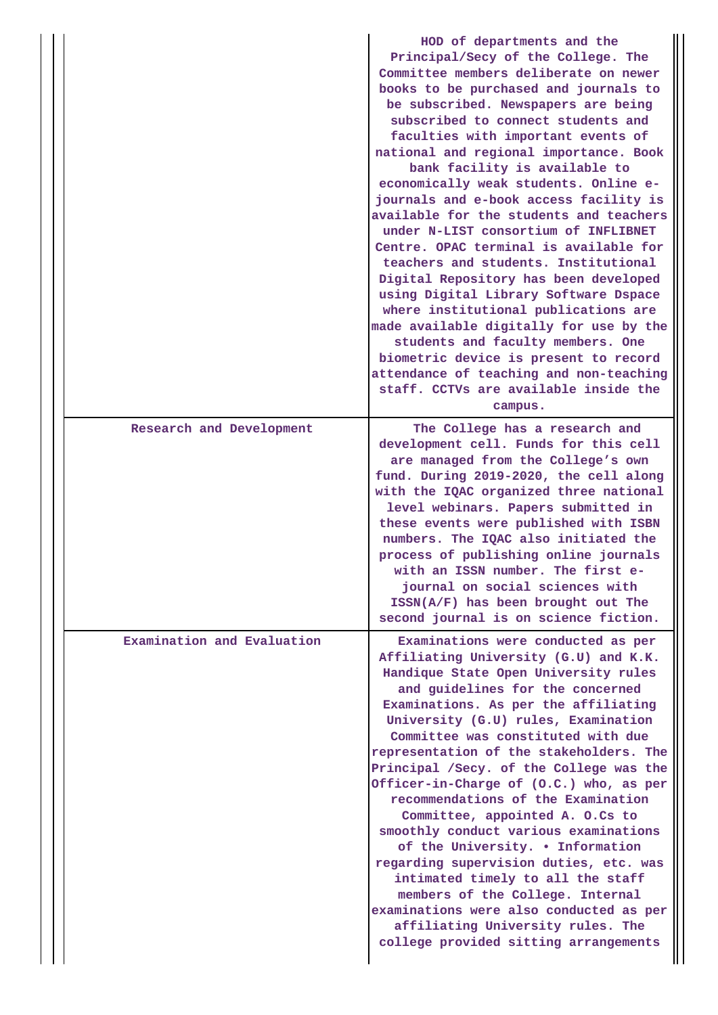|                            | HOD of departments and the<br>Principal/Secy of the College. The<br>Committee members deliberate on newer<br>books to be purchased and journals to<br>be subscribed. Newspapers are being<br>subscribed to connect students and<br>faculties with important events of<br>national and regional importance. Book<br>bank facility is available to<br>economically weak students. Online e-<br>journals and e-book access facility is<br>available for the students and teachers<br>under N-LIST consortium of INFLIBNET<br>Centre. OPAC terminal is available for<br>teachers and students. Institutional<br>Digital Repository has been developed<br>using Digital Library Software Dspace<br>where institutional publications are<br>made available digitally for use by the<br>students and faculty members. One<br>biometric device is present to record<br>attendance of teaching and non-teaching<br>staff. CCTVs are available inside the<br>campus. |
|----------------------------|------------------------------------------------------------------------------------------------------------------------------------------------------------------------------------------------------------------------------------------------------------------------------------------------------------------------------------------------------------------------------------------------------------------------------------------------------------------------------------------------------------------------------------------------------------------------------------------------------------------------------------------------------------------------------------------------------------------------------------------------------------------------------------------------------------------------------------------------------------------------------------------------------------------------------------------------------------|
| Research and Development   | The College has a research and<br>development cell. Funds for this cell<br>are managed from the College's own<br>fund. During 2019-2020, the cell along<br>with the IQAC organized three national<br>level webinars. Papers submitted in<br>these events were published with ISBN<br>numbers. The IQAC also initiated the<br>process of publishing online journals<br>with an ISSN number. The first e-<br>journal on social sciences with<br>$ISSN(A/F)$ has been brought out The<br>second journal is on science fiction.                                                                                                                                                                                                                                                                                                                                                                                                                                |
| Examination and Evaluation | Examinations were conducted as per<br>Affiliating University (G.U) and K.K.<br>Handique State Open University rules<br>and guidelines for the concerned<br>Examinations. As per the affiliating<br>University (G.U) rules, Examination<br>Committee was constituted with due<br>representation of the stakeholders. The<br>Principal /Secy. of the College was the<br>Officer-in-Charge of (O.C.) who, as per<br>recommendations of the Examination<br>Committee, appointed A. O.Cs to<br>smoothly conduct various examinations<br>of the University. . Information<br>regarding supervision duties, etc. was<br>intimated timely to all the staff<br>members of the College. Internal<br>examinations were also conducted as per<br>affiliating University rules. The<br>college provided sitting arrangements                                                                                                                                            |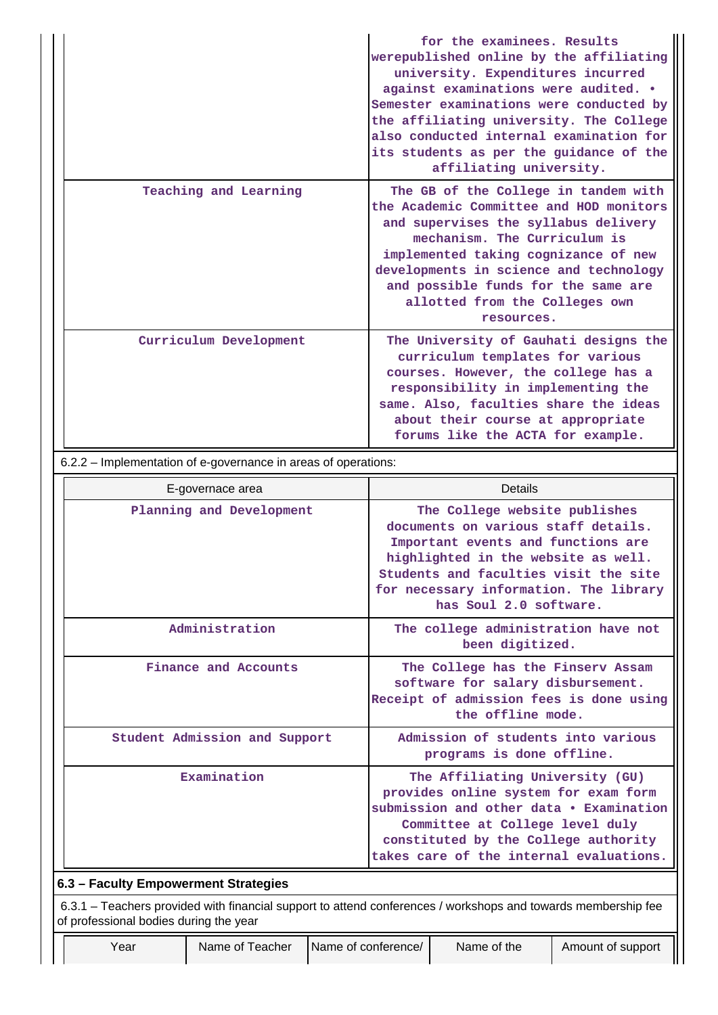|                        | for the examinees. Results<br>werepublished online by the affiliating<br>university. Expenditures incurred<br>against examinations were audited. .<br>Semester examinations were conducted by<br>the affiliating university. The College<br>also conducted internal examination for<br>its students as per the guidance of the<br>affiliating university. |
|------------------------|-----------------------------------------------------------------------------------------------------------------------------------------------------------------------------------------------------------------------------------------------------------------------------------------------------------------------------------------------------------|
| Teaching and Learning  | The GB of the College in tandem with<br>the Academic Committee and HOD monitors<br>and supervises the syllabus delivery<br>mechanism. The Curriculum is<br>implemented taking cognizance of new<br>developments in science and technology<br>and possible funds for the same are<br>allotted from the Colleges own<br>resources.                          |
| Curriculum Development | The University of Gauhati designs the<br>curriculum templates for various<br>courses. However, the college has a<br>responsibility in implementing the<br>same. Also, faculties share the ideas<br>about their course at appropriate<br>forums like the ACTA for example.                                                                                 |

6.2.2 – Implementation of e-governance in areas of operations:

| E-governace area                                                                                              | Details                                                                                                                                                                                                                                                        |
|---------------------------------------------------------------------------------------------------------------|----------------------------------------------------------------------------------------------------------------------------------------------------------------------------------------------------------------------------------------------------------------|
| Planning and Development                                                                                      | The College website publishes<br>documents on various staff details.<br>Important events and functions are<br>highlighted in the website as well.<br>Students and faculties visit the site<br>for necessary information. The library<br>has Soul 2.0 software. |
| Administration                                                                                                | The college administration have not<br>been digitized.                                                                                                                                                                                                         |
| Finance and Accounts                                                                                          | The College has the Finserv Assam<br>software for salary disbursement.<br>Receipt of admission fees is done using<br>the offline mode.                                                                                                                         |
| Student Admission and Support                                                                                 | Admission of students into various<br>programs is done offline.                                                                                                                                                                                                |
| Examination                                                                                                   | The Affiliating University (GU)<br>provides online system for exam form<br>submission and other data • Examination<br>Committee at College level duly<br>constituted by the College authority<br>takes care of the internal evaluations.                       |
| 6.3 - Faculty Empowerment Strategies                                                                          |                                                                                                                                                                                                                                                                |
| 6.3.1 – Teachers provided with financial support to attend conferences / workshops and towards membership fee |                                                                                                                                                                                                                                                                |

of professional bodies during the year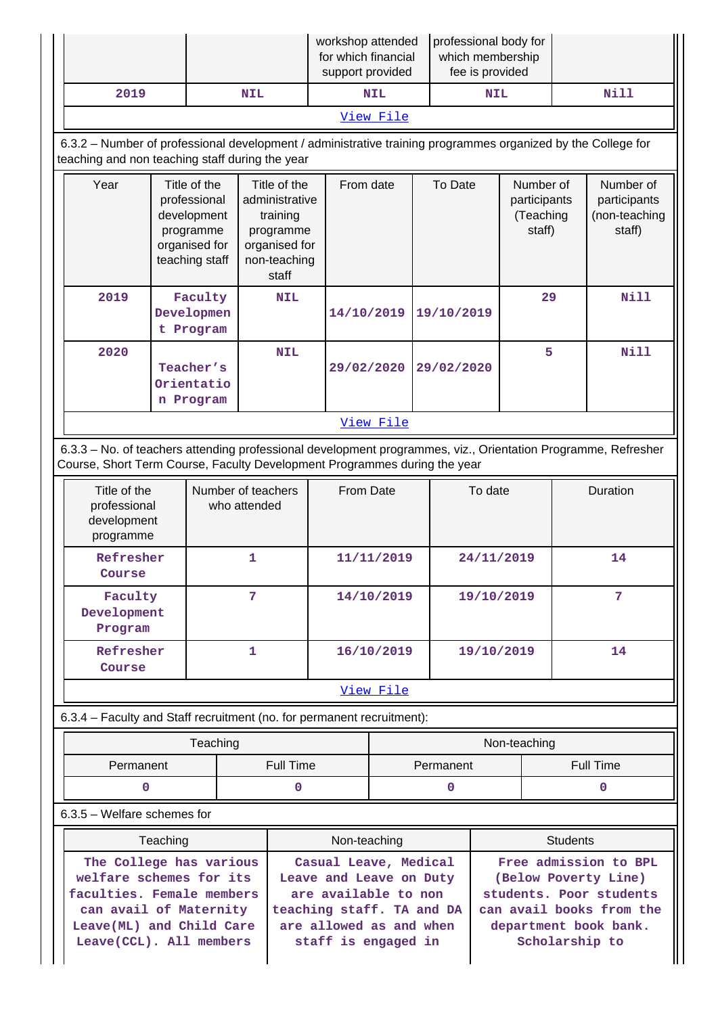|                                                                                                                                                                                            |                                                                                             |                                    | workshop attended<br>for which financial<br>support provided                                      |                                                                                                                                                         |              | professional body for | which membership<br>fee is provided |                                                                                                                                                 |                                                  |              |             |                                                      |  |
|--------------------------------------------------------------------------------------------------------------------------------------------------------------------------------------------|---------------------------------------------------------------------------------------------|------------------------------------|---------------------------------------------------------------------------------------------------|---------------------------------------------------------------------------------------------------------------------------------------------------------|--------------|-----------------------|-------------------------------------|-------------------------------------------------------------------------------------------------------------------------------------------------|--------------------------------------------------|--------------|-------------|------------------------------------------------------|--|
| 2019                                                                                                                                                                                       |                                                                                             |                                    | <b>NIL</b>                                                                                        |                                                                                                                                                         |              | <b>NIL</b>            |                                     |                                                                                                                                                 | <b>NIL</b>                                       |              | <b>Nill</b> |                                                      |  |
|                                                                                                                                                                                            |                                                                                             |                                    |                                                                                                   |                                                                                                                                                         |              | View File             |                                     |                                                                                                                                                 |                                                  |              |             |                                                      |  |
| 6.3.2 - Number of professional development / administrative training programmes organized by the College for<br>teaching and non teaching staff during the year                            |                                                                                             |                                    |                                                                                                   |                                                                                                                                                         |              |                       |                                     |                                                                                                                                                 |                                                  |              |             |                                                      |  |
| Year                                                                                                                                                                                       | Title of the<br>professional<br>development<br>programme<br>organised for<br>teaching staff |                                    | Title of the<br>administrative<br>training<br>programme<br>organised for<br>non-teaching<br>staff |                                                                                                                                                         | From date    |                       | To Date                             |                                                                                                                                                 | Number of<br>participants<br>(Teaching<br>staff) |              |             | Number of<br>participants<br>(non-teaching<br>staff) |  |
| 2019                                                                                                                                                                                       |                                                                                             | Faculty<br>Developmen<br>t Program |                                                                                                   | <b>NIL</b>                                                                                                                                              | 14/10/2019   |                       |                                     | 19/10/2019                                                                                                                                      |                                                  | 29           |             | <b>Nill</b>                                          |  |
| 2020                                                                                                                                                                                       | Teacher's<br>Orientatio<br>n Program                                                        |                                    |                                                                                                   | <b>NIL</b>                                                                                                                                              | 29/02/2020   |                       |                                     | 29/02/2020                                                                                                                                      |                                                  | 5            |             | <b>Nill</b>                                          |  |
|                                                                                                                                                                                            |                                                                                             |                                    |                                                                                                   |                                                                                                                                                         |              | View File             |                                     |                                                                                                                                                 |                                                  |              |             |                                                      |  |
| 6.3.3 - No. of teachers attending professional development programmes, viz., Orientation Programme, Refresher<br>Course, Short Term Course, Faculty Development Programmes during the year |                                                                                             |                                    |                                                                                                   |                                                                                                                                                         |              |                       |                                     |                                                                                                                                                 |                                                  |              |             |                                                      |  |
| Number of teachers<br>Title of the<br>professional<br>who attended<br>development<br>programme                                                                                             |                                                                                             |                                    | From Date                                                                                         |                                                                                                                                                         |              |                       | To date                             |                                                                                                                                                 | Duration                                         |              |             |                                                      |  |
| Refresher<br>Course                                                                                                                                                                        |                                                                                             |                                    | 1                                                                                                 |                                                                                                                                                         |              | 11/11/2019            |                                     |                                                                                                                                                 | 24/11/2019                                       |              |             | 14                                                   |  |
| Faculty<br>Development<br>Program                                                                                                                                                          |                                                                                             |                                    | 7                                                                                                 |                                                                                                                                                         | 14/10/2019   |                       |                                     | 19/10/2019                                                                                                                                      |                                                  |              |             | 7                                                    |  |
| Refresher<br>Course                                                                                                                                                                        |                                                                                             |                                    | $\mathbf{1}$                                                                                      |                                                                                                                                                         |              | 16/10/2019            |                                     |                                                                                                                                                 | 19/10/2019                                       |              | 14          |                                                      |  |
|                                                                                                                                                                                            |                                                                                             |                                    |                                                                                                   |                                                                                                                                                         |              | View File             |                                     |                                                                                                                                                 |                                                  |              |             |                                                      |  |
| 6.3.4 - Faculty and Staff recruitment (no. for permanent recruitment):                                                                                                                     |                                                                                             |                                    |                                                                                                   |                                                                                                                                                         |              |                       |                                     |                                                                                                                                                 |                                                  |              |             |                                                      |  |
|                                                                                                                                                                                            |                                                                                             | Teaching                           |                                                                                                   |                                                                                                                                                         |              |                       |                                     |                                                                                                                                                 |                                                  | Non-teaching |             |                                                      |  |
| Permanent                                                                                                                                                                                  |                                                                                             |                                    |                                                                                                   | <b>Full Time</b>                                                                                                                                        |              |                       |                                     | Permanent                                                                                                                                       |                                                  |              |             | <b>Full Time</b>                                     |  |
| 0                                                                                                                                                                                          |                                                                                             |                                    |                                                                                                   | 0                                                                                                                                                       |              |                       |                                     | 0                                                                                                                                               |                                                  |              |             | 0                                                    |  |
| 6.3.5 - Welfare schemes for                                                                                                                                                                |                                                                                             |                                    |                                                                                                   |                                                                                                                                                         |              |                       |                                     |                                                                                                                                                 |                                                  |              |             |                                                      |  |
| Teaching                                                                                                                                                                                   |                                                                                             |                                    |                                                                                                   |                                                                                                                                                         | Non-teaching |                       |                                     |                                                                                                                                                 | <b>Students</b>                                  |              |             |                                                      |  |
| The College has various<br>welfare schemes for its<br>faculties. Female members<br>can avail of Maternity<br>Leave(ML) and Child Care<br>Leave(CCL). All members                           |                                                                                             |                                    |                                                                                                   | Casual Leave, Medical<br>Leave and Leave on Duty<br>are available to non<br>teaching staff. TA and DA<br>are allowed as and when<br>staff is engaged in |              |                       |                                     | Free admission to BPL<br>(Below Poverty Line)<br>students. Poor students<br>can avail books from the<br>department book bank.<br>Scholarship to |                                                  |              |             |                                                      |  |

 $\parallel$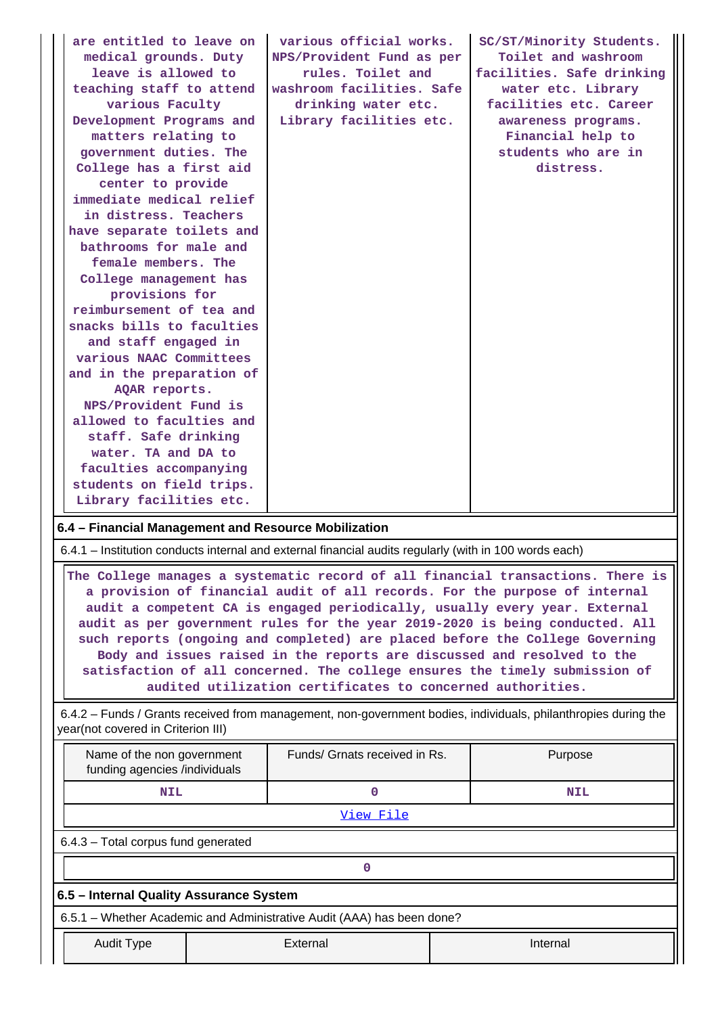| are entitled to leave on<br>medical grounds. Duty<br>leave is allowed to<br>teaching staff to attend<br>various Faculty<br>Development Programs and<br>matters relating to<br>government duties. The<br>College has a first aid<br>center to provide<br>immediate medical relief<br>in distress. Teachers<br>have separate toilets and<br>bathrooms for male and<br>female members. The<br>College management has<br>provisions for<br>reimbursement of tea and<br>snacks bills to faculties<br>and staff engaged in<br>various NAAC Committees<br>and in the preparation of<br>AQAR reports.<br>NPS/Provident Fund is<br>allowed to faculties and<br>staff. Safe drinking<br>water. TA and DA to<br>faculties accompanying<br>students on field trips.<br>Library facilities etc. | SC/ST/Minority Students.<br>Toilet and washroom<br>facilities. Safe drinking<br>water etc. Library<br>facilities etc. Career<br>awareness programs.<br>Financial help to<br>students who are in<br>distress. |  |            |  |  |  |  |
|------------------------------------------------------------------------------------------------------------------------------------------------------------------------------------------------------------------------------------------------------------------------------------------------------------------------------------------------------------------------------------------------------------------------------------------------------------------------------------------------------------------------------------------------------------------------------------------------------------------------------------------------------------------------------------------------------------------------------------------------------------------------------------|--------------------------------------------------------------------------------------------------------------------------------------------------------------------------------------------------------------|--|------------|--|--|--|--|
| 6.4 - Financial Management and Resource Mobilization                                                                                                                                                                                                                                                                                                                                                                                                                                                                                                                                                                                                                                                                                                                               |                                                                                                                                                                                                              |  |            |  |  |  |  |
|                                                                                                                                                                                                                                                                                                                                                                                                                                                                                                                                                                                                                                                                                                                                                                                    |                                                                                                                                                                                                              |  |            |  |  |  |  |
| 6.4.1 – Institution conducts internal and external financial audits regularly (with in 100 words each)<br>The College manages a systematic record of all financial transactions. There is<br>a provision of financial audit of all records. For the purpose of internal<br>audit a competent CA is engaged periodically, usually every year. External<br>audit as per government rules for the year 2019-2020 is being conducted. All<br>such reports (ongoing and completed) are placed before the College Governing<br>Body and issues raised in the reports are discussed and resolved to the<br>satisfaction of all concerned. The college ensures the timely submission of<br>audited utilization certificates to concerned authorities.                                      |                                                                                                                                                                                                              |  |            |  |  |  |  |
| 6.4.2 – Funds / Grants received from management, non-government bodies, individuals, philanthropies during the<br>year(not covered in Criterion III)                                                                                                                                                                                                                                                                                                                                                                                                                                                                                                                                                                                                                               |                                                                                                                                                                                                              |  |            |  |  |  |  |
| Name of the non government<br>funding agencies /individuals                                                                                                                                                                                                                                                                                                                                                                                                                                                                                                                                                                                                                                                                                                                        | Funds/ Grnats received in Rs.                                                                                                                                                                                |  | Purpose    |  |  |  |  |
| <b>NIL</b>                                                                                                                                                                                                                                                                                                                                                                                                                                                                                                                                                                                                                                                                                                                                                                         | $\mathbf 0$                                                                                                                                                                                                  |  | <b>NIL</b> |  |  |  |  |
|                                                                                                                                                                                                                                                                                                                                                                                                                                                                                                                                                                                                                                                                                                                                                                                    | View File                                                                                                                                                                                                    |  |            |  |  |  |  |
| 6.4.3 - Total corpus fund generated                                                                                                                                                                                                                                                                                                                                                                                                                                                                                                                                                                                                                                                                                                                                                |                                                                                                                                                                                                              |  |            |  |  |  |  |
|                                                                                                                                                                                                                                                                                                                                                                                                                                                                                                                                                                                                                                                                                                                                                                                    | 0                                                                                                                                                                                                            |  |            |  |  |  |  |
| 6.5 - Internal Quality Assurance System                                                                                                                                                                                                                                                                                                                                                                                                                                                                                                                                                                                                                                                                                                                                            |                                                                                                                                                                                                              |  |            |  |  |  |  |
| 6.5.1 - Whether Academic and Administrative Audit (AAA) has been done?                                                                                                                                                                                                                                                                                                                                                                                                                                                                                                                                                                                                                                                                                                             |                                                                                                                                                                                                              |  |            |  |  |  |  |
| <b>Audit Type</b>                                                                                                                                                                                                                                                                                                                                                                                                                                                                                                                                                                                                                                                                                                                                                                  | External                                                                                                                                                                                                     |  | Internal   |  |  |  |  |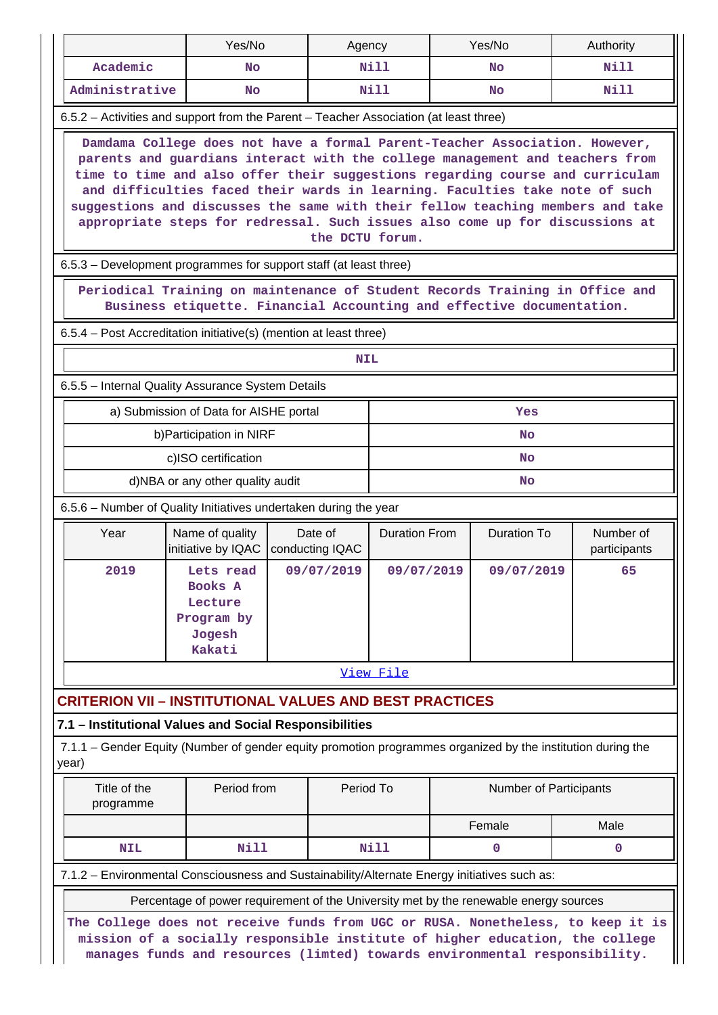|                                                                                                                                                                                                                                                                                                                                                                                                                                                                                                                  | Yes/No                                                                                |  | Agency                     |                      |           | Yes/No                        | Authority   |  |  |
|------------------------------------------------------------------------------------------------------------------------------------------------------------------------------------------------------------------------------------------------------------------------------------------------------------------------------------------------------------------------------------------------------------------------------------------------------------------------------------------------------------------|---------------------------------------------------------------------------------------|--|----------------------------|----------------------|-----------|-------------------------------|-------------|--|--|
| Academic                                                                                                                                                                                                                                                                                                                                                                                                                                                                                                         | <b>No</b>                                                                             |  |                            | Nill                 | <b>No</b> |                               | Nill        |  |  |
| Administrative                                                                                                                                                                                                                                                                                                                                                                                                                                                                                                   | <b>No</b>                                                                             |  |                            | Nill                 |           | No                            | Nill        |  |  |
| 6.5.2 – Activities and support from the Parent – Teacher Association (at least three)                                                                                                                                                                                                                                                                                                                                                                                                                            |                                                                                       |  |                            |                      |           |                               |             |  |  |
| Damdama College does not have a formal Parent-Teacher Association. However,<br>parents and guardians interact with the college management and teachers from<br>time to time and also offer their suggestions regarding course and curriculam<br>and difficulties faced their wards in learning. Faculties take note of such<br>suggestions and discusses the same with their fellow teaching members and take<br>appropriate steps for redressal. Such issues also come up for discussions at<br>the DCTU forum. |                                                                                       |  |                            |                      |           |                               |             |  |  |
| 6.5.3 – Development programmes for support staff (at least three)                                                                                                                                                                                                                                                                                                                                                                                                                                                |                                                                                       |  |                            |                      |           |                               |             |  |  |
| Periodical Training on maintenance of Student Records Training in Office and<br>Business etiquette. Financial Accounting and effective documentation.                                                                                                                                                                                                                                                                                                                                                            |                                                                                       |  |                            |                      |           |                               |             |  |  |
| 6.5.4 – Post Accreditation initiative(s) (mention at least three)                                                                                                                                                                                                                                                                                                                                                                                                                                                |                                                                                       |  |                            |                      |           |                               |             |  |  |
|                                                                                                                                                                                                                                                                                                                                                                                                                                                                                                                  |                                                                                       |  | <b>NIL</b>                 |                      |           |                               |             |  |  |
| 6.5.5 - Internal Quality Assurance System Details                                                                                                                                                                                                                                                                                                                                                                                                                                                                |                                                                                       |  |                            |                      |           |                               |             |  |  |
|                                                                                                                                                                                                                                                                                                                                                                                                                                                                                                                  | a) Submission of Data for AISHE portal                                                |  |                            |                      |           | Yes                           |             |  |  |
|                                                                                                                                                                                                                                                                                                                                                                                                                                                                                                                  | b) Participation in NIRF                                                              |  |                            | <b>No</b>            |           |                               |             |  |  |
|                                                                                                                                                                                                                                                                                                                                                                                                                                                                                                                  | c)ISO certification                                                                   |  |                            | <b>No</b>            |           |                               |             |  |  |
|                                                                                                                                                                                                                                                                                                                                                                                                                                                                                                                  | d)NBA or any other quality audit                                                      |  |                            |                      |           | No                            |             |  |  |
| 6.5.6 – Number of Quality Initiatives undertaken during the year                                                                                                                                                                                                                                                                                                                                                                                                                                                 |                                                                                       |  |                            |                      |           |                               |             |  |  |
| Year                                                                                                                                                                                                                                                                                                                                                                                                                                                                                                             | Name of quality<br>initiative by IQAC                                                 |  | Date of<br>conducting IQAC | <b>Duration From</b> |           | Number of<br>participants     |             |  |  |
| 2019                                                                                                                                                                                                                                                                                                                                                                                                                                                                                                             | Lets read<br>Books A<br>Lecture<br>Program by<br>Jogesh<br>Kakati                     |  | 09/07/2019                 | 09/07/2019           |           | 09/07/2019                    | 65          |  |  |
|                                                                                                                                                                                                                                                                                                                                                                                                                                                                                                                  |                                                                                       |  |                            | View File            |           |                               |             |  |  |
| <b>CRITERION VII - INSTITUTIONAL VALUES AND BEST PRACTICES</b>                                                                                                                                                                                                                                                                                                                                                                                                                                                   |                                                                                       |  |                            |                      |           |                               |             |  |  |
| 7.1 - Institutional Values and Social Responsibilities                                                                                                                                                                                                                                                                                                                                                                                                                                                           |                                                                                       |  |                            |                      |           |                               |             |  |  |
| 7.1.1 – Gender Equity (Number of gender equity promotion programmes organized by the institution during the<br>year)                                                                                                                                                                                                                                                                                                                                                                                             |                                                                                       |  |                            |                      |           |                               |             |  |  |
| Title of the<br>programme                                                                                                                                                                                                                                                                                                                                                                                                                                                                                        | Period from                                                                           |  | Period To                  |                      |           | <b>Number of Participants</b> |             |  |  |
|                                                                                                                                                                                                                                                                                                                                                                                                                                                                                                                  |                                                                                       |  |                            | Female               |           |                               | Male        |  |  |
| <b>NIL</b>                                                                                                                                                                                                                                                                                                                                                                                                                                                                                                       | Nill                                                                                  |  |                            | Nill                 |           | 0                             | $\mathbf 0$ |  |  |
| 7.1.2 - Environmental Consciousness and Sustainability/Alternate Energy initiatives such as:                                                                                                                                                                                                                                                                                                                                                                                                                     |                                                                                       |  |                            |                      |           |                               |             |  |  |
|                                                                                                                                                                                                                                                                                                                                                                                                                                                                                                                  | Percentage of power requirement of the University met by the renewable energy sources |  |                            |                      |           |                               |             |  |  |
| The College does not receive funds from UGC or RUSA. Nonetheless, to keep it is<br>mission of a socially responsible institute of higher education, the college<br>manages funds and resources (limted) towards environmental responsibility.                                                                                                                                                                                                                                                                    |                                                                                       |  |                            |                      |           |                               |             |  |  |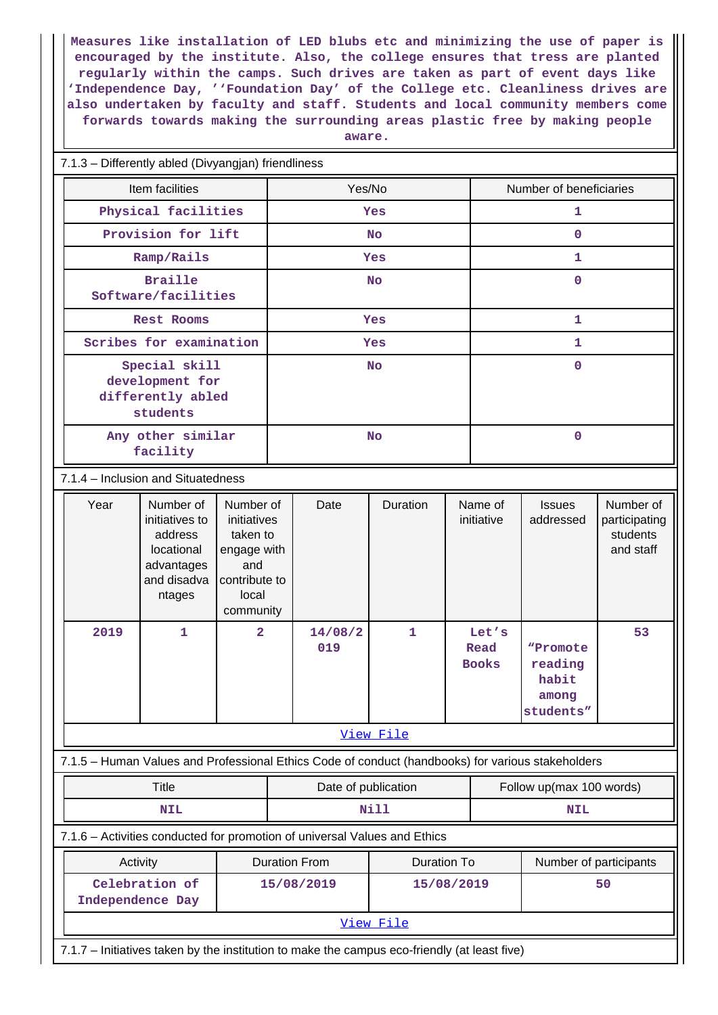**Measures like installation of LED blubs etc and minimizing the use of paper is encouraged by the institute. Also, the college ensures that tress are planted regularly within the camps. Such drives are taken as part of event days like 'Independence Day, ''Foundation Day' of the College etc. Cleanliness drives are also undertaken by faculty and staff. Students and local community members come forwards towards making the surrounding areas plastic free by making people**

| aware |  |  |
|-------|--|--|
|       |  |  |

#### 7.1.3 – Differently abled (Divyangjan) friendliness

| Item facilities                                                   | Yes/No    | Number of beneficiaries |
|-------------------------------------------------------------------|-----------|-------------------------|
| Physical facilities                                               | Yes       | 1                       |
| Provision for lift                                                | No        | 0                       |
| Ramp/Rails                                                        | Yes       | 1                       |
| <b>Braille</b><br>Software/facilities                             | <b>No</b> | 0                       |
| Rest Rooms                                                        | Yes       | 1                       |
| Scribes for examination                                           | Yes       | 1                       |
| Special skill<br>development for<br>differently abled<br>students | No        | $\mathbf 0$             |
| Any other similar<br>facility                                     | <b>No</b> | $\Omega$                |

#### 7.1.4 – Inclusion and Situatedness

|                                  | Year                               | Number of<br>initiatives to<br>address<br>locational<br>advantages<br>and disadva<br>ntages | Number of<br>initiatives<br>taken to<br>engage with<br>and<br>contribute to<br>local<br>community |                    | Date                                                                                              | <b>Duration</b>        |  | Name of<br>initiative         | <b>Issues</b><br>addressed                         | Number of<br>participating<br>students<br>and staff |  |
|----------------------------------|------------------------------------|---------------------------------------------------------------------------------------------|---------------------------------------------------------------------------------------------------|--------------------|---------------------------------------------------------------------------------------------------|------------------------|--|-------------------------------|----------------------------------------------------|-----------------------------------------------------|--|
|                                  | 2019                               | $\mathbf{1}$                                                                                | $\overline{2}$                                                                                    |                    | 14/08/2<br>019                                                                                    | $\mathbf{1}$           |  | Let's<br>Read<br><b>Books</b> | "Promote<br>reading<br>habit<br>among<br>students" | 53                                                  |  |
|                                  |                                    |                                                                                             |                                                                                                   |                    |                                                                                                   | View File              |  |                               |                                                    |                                                     |  |
|                                  |                                    |                                                                                             |                                                                                                   |                    | 7.1.5 - Human Values and Professional Ethics Code of conduct (handbooks) for various stakeholders |                        |  |                               |                                                    |                                                     |  |
|                                  |                                    | <b>Title</b>                                                                                |                                                                                                   |                    | Date of publication                                                                               |                        |  | Follow up(max 100 words)      |                                                    |                                                     |  |
|                                  |                                    | <b>NIL</b>                                                                                  |                                                                                                   |                    | Nill                                                                                              |                        |  |                               | <b>NIL</b>                                         |                                                     |  |
|                                  |                                    |                                                                                             |                                                                                                   |                    | 7.1.6 - Activities conducted for promotion of universal Values and Ethics                         |                        |  |                               |                                                    |                                                     |  |
| <b>Duration From</b><br>Activity |                                    |                                                                                             |                                                                                                   | <b>Duration To</b> |                                                                                                   | Number of participants |  |                               |                                                    |                                                     |  |
|                                  | Celebration of<br>Independence Day |                                                                                             |                                                                                                   |                    | 15/08/2019<br>15/08/2019                                                                          |                        |  |                               |                                                    | 50                                                  |  |
|                                  |                                    |                                                                                             |                                                                                                   |                    |                                                                                                   | View File              |  |                               |                                                    |                                                     |  |

7.1.7 – Initiatives taken by the institution to make the campus eco-friendly (at least five)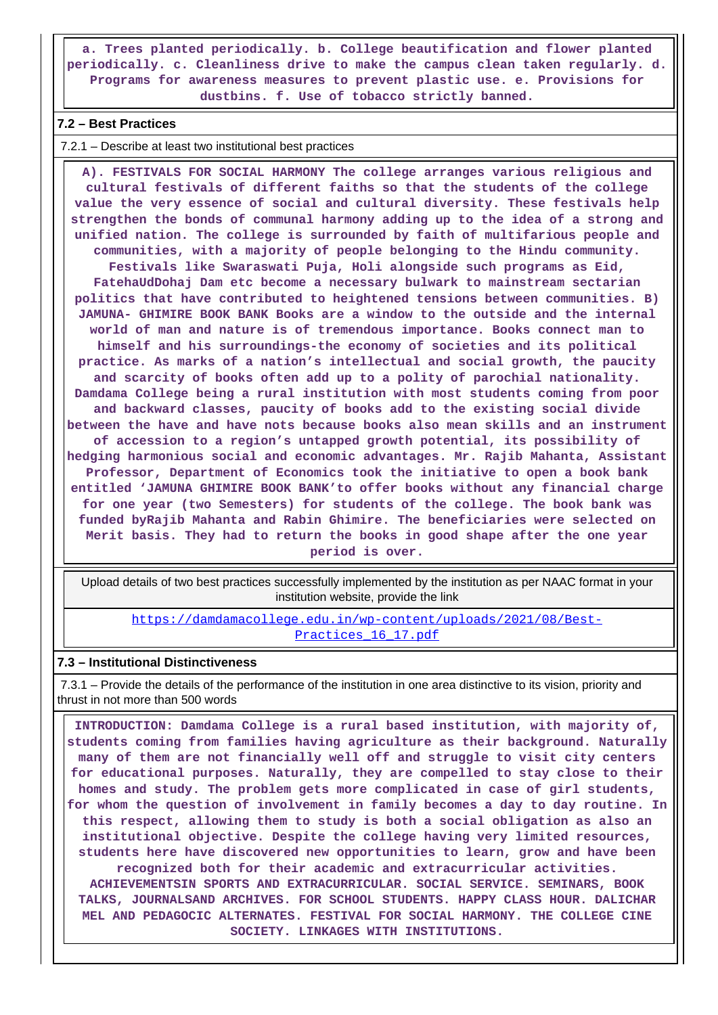**a. Trees planted periodically. b. College beautification and flower planted periodically. c. Cleanliness drive to make the campus clean taken regularly. d. Programs for awareness measures to prevent plastic use. e. Provisions for dustbins. f. Use of tobacco strictly banned.**

#### **7.2 – Best Practices**

7.2.1 – Describe at least two institutional best practices

 **A). FESTIVALS FOR SOCIAL HARMONY The college arranges various religious and cultural festivals of different faiths so that the students of the college value the very essence of social and cultural diversity. These festivals help strengthen the bonds of communal harmony adding up to the idea of a strong and unified nation. The college is surrounded by faith of multifarious people and communities, with a majority of people belonging to the Hindu community. Festivals like Swaraswati Puja, Holi alongside such programs as Eid, FatehaUdDohaj Dam etc become a necessary bulwark to mainstream sectarian politics that have contributed to heightened tensions between communities. B) JAMUNA- GHIMIRE BOOK BANK Books are a window to the outside and the internal world of man and nature is of tremendous importance. Books connect man to himself and his surroundings-the economy of societies and its political practice. As marks of a nation's intellectual and social growth, the paucity and scarcity of books often add up to a polity of parochial nationality. Damdama College being a rural institution with most students coming from poor and backward classes, paucity of books add to the existing social divide between the have and have nots because books also mean skills and an instrument of accession to a region's untapped growth potential, its possibility of hedging harmonious social and economic advantages. Mr. Rajib Mahanta, Assistant Professor, Department of Economics took the initiative to open a book bank entitled 'JAMUNA GHIMIRE BOOK BANK'to offer books without any financial charge for one year (two Semesters) for students of the college. The book bank was funded byRajib Mahanta and Rabin Ghimire. The beneficiaries were selected on Merit basis. They had to return the books in good shape after the one year period is over.**

 Upload details of two best practices successfully implemented by the institution as per NAAC format in your institution website, provide the link

[https://damdamacollege.edu.in/wp-content/uploads/2021/08/Best-](https://damdamacollege.edu.in/wp-content/uploads/2021/08/Best-Practices_16_17.pdf)Practices 16 17.pdf

#### **7.3 – Institutional Distinctiveness**

 7.3.1 – Provide the details of the performance of the institution in one area distinctive to its vision, priority and thrust in not more than 500 words

 **INTRODUCTION: Damdama College is a rural based institution, with majority of, students coming from families having agriculture as their background. Naturally many of them are not financially well off and struggle to visit city centers for educational purposes. Naturally, they are compelled to stay close to their homes and study. The problem gets more complicated in case of girl students, for whom the question of involvement in family becomes a day to day routine. In this respect, allowing them to study is both a social obligation as also an institutional objective. Despite the college having very limited resources, students here have discovered new opportunities to learn, grow and have been recognized both for their academic and extracurricular activities. ACHIEVEMENTSIN SPORTS AND EXTRACURRICULAR. SOCIAL SERVICE. SEMINARS, BOOK TALKS, JOURNALSAND ARCHIVES. FOR SCHOOL STUDENTS. HAPPY CLASS HOUR. DALICHAR MEL AND PEDAGOCIC ALTERNATES. FESTIVAL FOR SOCIAL HARMONY. THE COLLEGE CINE SOCIETY. LINKAGES WITH INSTITUTIONS.**